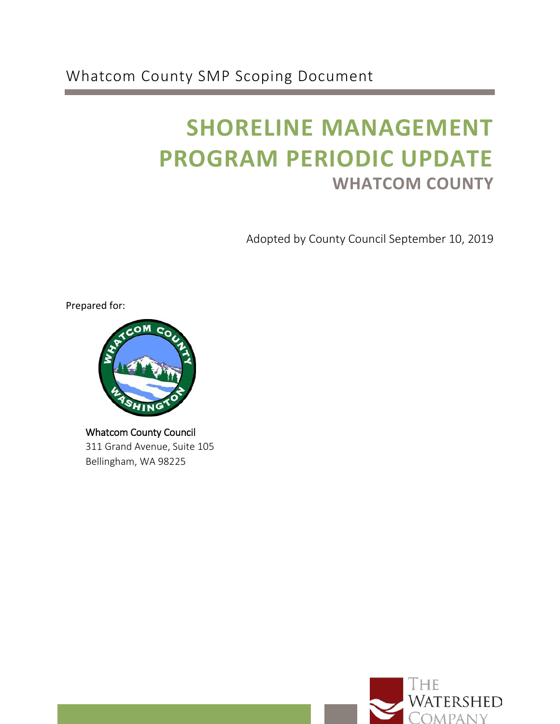Whatcom County SMP Scoping Document

# **SHORELINE MANAGEMENT PROGRAM PERIODIC UPDATE WHATCOM COUNTY**

Adopted by County Council September 10, 2019

Prepared for:



Whatcom County Council 311 Grand Avenue, Suite 105 Bellingham, WA 98225

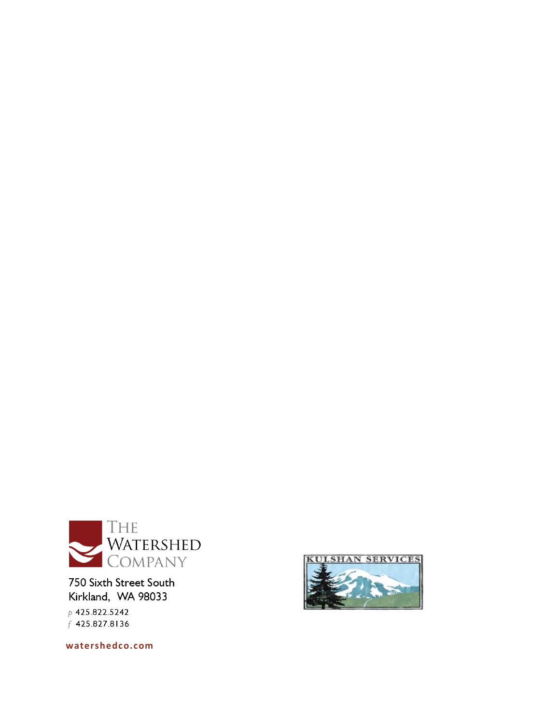

750 Sixth Street South Kirkland, WA 98033

 $p$  425.822.5242 f 425.827.8136

**[watershedco.com](https://www.watershedco.com/)**

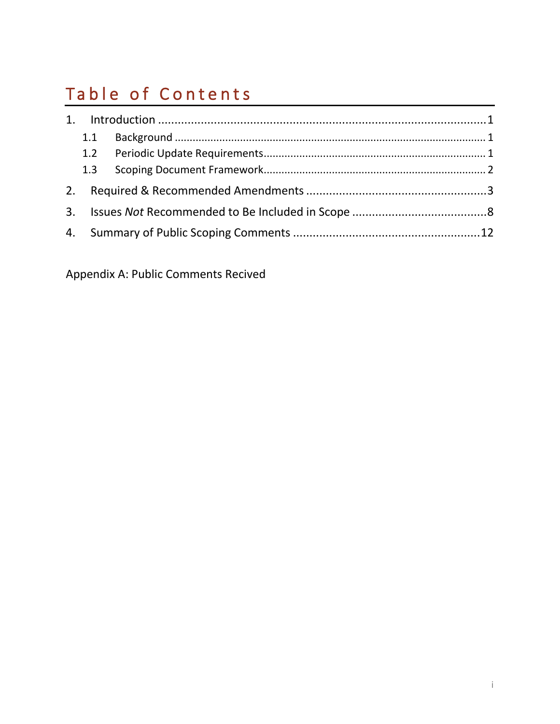## Table of Contents

|    | 1.1 |  |  |  |  |  |
|----|-----|--|--|--|--|--|
|    |     |  |  |  |  |  |
|    | 1.3 |  |  |  |  |  |
|    |     |  |  |  |  |  |
| 3. |     |  |  |  |  |  |
|    |     |  |  |  |  |  |

[Appendix A:](#page-16-0) Public Comments Recived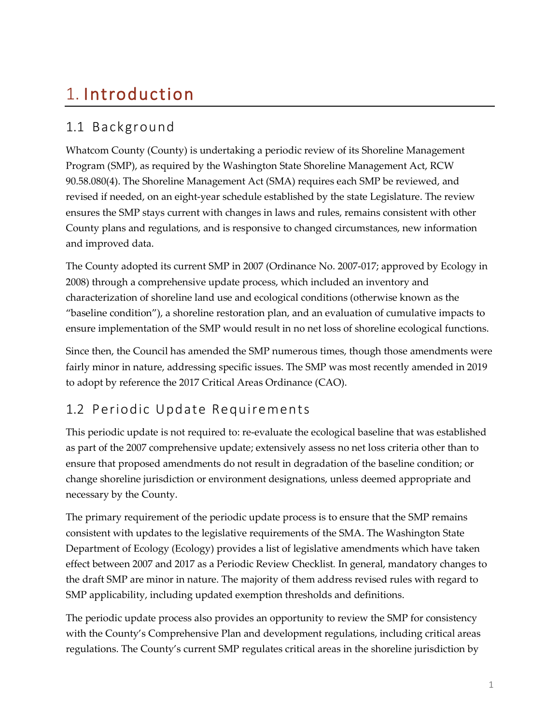## <span id="page-4-0"></span>1. Introduction

### <span id="page-4-1"></span>1.1 Background

Whatcom County (County) is undertaking a periodic review of its Shoreline Management Program (SMP), as required by the Washington State Shoreline Management Act, RCW 90.58.080(4). The Shoreline Management Act (SMA) requires each SMP be reviewed, and revised if needed, on an eight-year schedule established by the state Legislature. The review ensures the SMP stays current with changes in laws and rules, remains consistent with other County plans and regulations, and is responsive to changed circumstances, new information and improved data.

The County adopted its current SMP in 2007 (Ordinance No. 2007-017; approved by Ecology in 2008) through a comprehensive update process, which included an inventory and characterization of shoreline land use and ecological conditions (otherwise known as the "baseline condition"), a shoreline restoration plan, and an evaluation of cumulative impacts to ensure implementation of the SMP would result in no net loss of shoreline ecological functions.

Since then, the Council has amended the SMP numerous times, though those amendments were fairly minor in nature, addressing specific issues. The SMP was most recently amended in 2019 to adopt by reference the 2017 Critical Areas Ordinance (CAO).

### <span id="page-4-2"></span>1.2 Periodic Update Requirements

This periodic update is not required to: re-evaluate the ecological baseline that was established as part of the 2007 comprehensive update; extensively assess no net loss criteria other than to ensure that proposed amendments do not result in degradation of the baseline condition; or change shoreline jurisdiction or environment designations, unless deemed appropriate and necessary by the County.

The primary requirement of the periodic update process is to ensure that the SMP remains consistent with updates to the legislative requirements of the SMA. The Washington State Department of Ecology (Ecology) provides a list of legislative amendments which have taken effect between 2007 and 2017 as a Periodic Review Checklist*.* In general, mandatory changes to the draft SMP are minor in nature. The majority of them address revised rules with regard to SMP applicability, including updated exemption thresholds and definitions.

The periodic update process also provides an opportunity to review the SMP for consistency with the County's Comprehensive Plan and development regulations, including critical areas regulations. The County's current SMP regulates critical areas in the shoreline jurisdiction by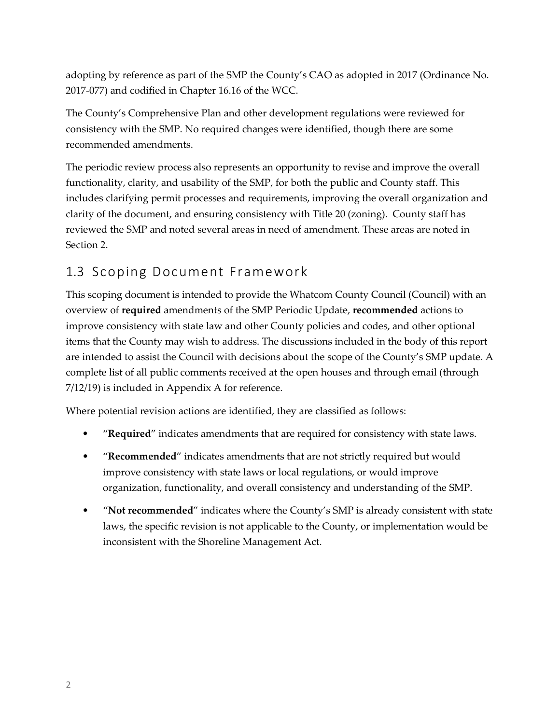adopting by reference as part of the SMP the County's CAO as adopted in 2017 (Ordinance No. 2017-077) and codified in Chapter 16.16 of the WCC.

The County's Comprehensive Plan and other development regulations were reviewed for consistency with the SMP. No required changes were identified, though there are some recommended amendments.

The periodic review process also represents an opportunity to revise and improve the overall functionality, clarity, and usability of the SMP, for both the public and County staff. This includes clarifying permit processes and requirements, improving the overall organization and clarity of the document, and ensuring consistency with Title 20 (zoning). County staff has reviewed the SMP and noted several areas in need of amendment. These areas are noted in Section 2.

#### <span id="page-5-0"></span>1.3 Scoping Document Framework

This scoping document is intended to provide the Whatcom County Council (Council) with an overview of **required** amendments of the SMP Periodic Update, **recommended** actions to improve consistency with state law and other County policies and codes, and other optional items that the County may wish to address. The discussions included in the body of this report are intended to assist the Council with decisions about the scope of the County's SMP update. A complete list of all public comments received at the open houses and through email (through 7/12/19) is included in Appendix A for reference.

Where potential revision actions are identified, they are classified as follows:

- "**Required**" indicates amendments that are required for consistency with state laws.
- "**Recommended**" indicates amendments that are not strictly required but would improve consistency with state laws or local regulations, or would improve organization, functionality, and overall consistency and understanding of the SMP.
- <span id="page-5-1"></span>• "**Not recommended**" indicates where the County's SMP is already consistent with state laws, the specific revision is not applicable to the County, or implementation would be inconsistent with the Shoreline Management Act.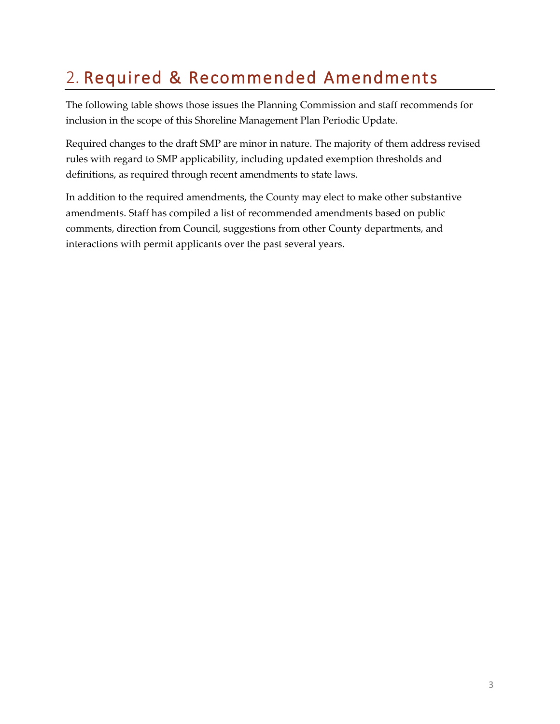## 2. Required & Recommended Amendments

The following table shows those issues the Planning Commission and staff recommends for inclusion in the scope of this Shoreline Management Plan Periodic Update.

Required changes to the draft SMP are minor in nature. The majority of them address revised rules with regard to SMP applicability, including updated exemption thresholds and definitions, as required through recent amendments to state laws.

In addition to the required amendments, the County may elect to make other substantive amendments. Staff has compiled a list of recommended amendments based on public comments, direction from Council, suggestions from other County departments, and interactions with permit applicants over the past several years.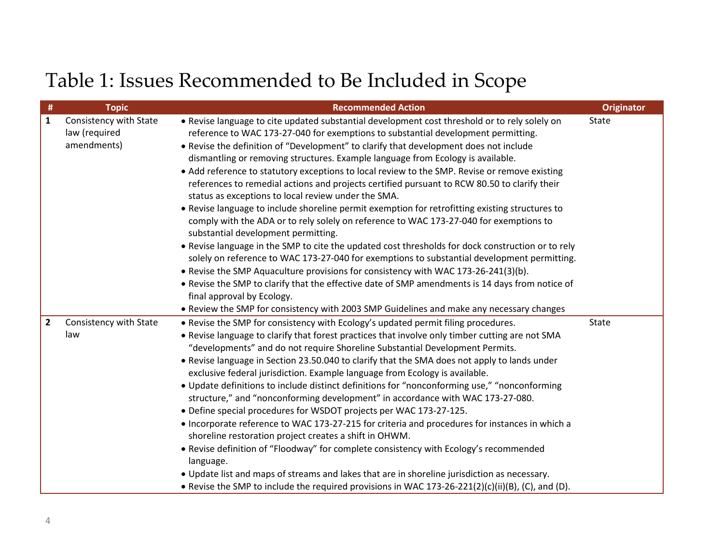# Table 1: Issues Recommended to Be Included in Scope

| #              | <b>Topic</b>           | <b>Recommended Action</b>                                                                         | <b>Originator</b> |
|----------------|------------------------|---------------------------------------------------------------------------------------------------|-------------------|
| $\mathbf{1}$   | Consistency with State | . Revise language to cite updated substantial development cost threshold or to rely solely on     | State             |
|                | law (required          | reference to WAC 173-27-040 for exemptions to substantial development permitting.                 |                   |
|                | amendments)            | . Revise the definition of "Development" to clarify that development does not include             |                   |
|                |                        | dismantling or removing structures. Example language from Ecology is available.                   |                   |
|                |                        | • Add reference to statutory exceptions to local review to the SMP. Revise or remove existing     |                   |
|                |                        | references to remedial actions and projects certified pursuant to RCW 80.50 to clarify their      |                   |
|                |                        | status as exceptions to local review under the SMA.                                               |                   |
|                |                        | • Revise language to include shoreline permit exemption for retrofitting existing structures to   |                   |
|                |                        | comply with the ADA or to rely solely on reference to WAC 173-27-040 for exemptions to            |                   |
|                |                        | substantial development permitting.                                                               |                   |
|                |                        | • Revise language in the SMP to cite the updated cost thresholds for dock construction or to rely |                   |
|                |                        | solely on reference to WAC 173-27-040 for exemptions to substantial development permitting.       |                   |
|                |                        | . Revise the SMP Aquaculture provisions for consistency with WAC 173-26-241(3)(b).                |                   |
|                |                        | . Revise the SMP to clarify that the effective date of SMP amendments is 14 days from notice of   |                   |
|                |                        | final approval by Ecology.                                                                        |                   |
|                |                        | • Review the SMP for consistency with 2003 SMP Guidelines and make any necessary changes          |                   |
| $\overline{2}$ | Consistency with State | • Revise the SMP for consistency with Ecology's updated permit filing procedures.                 | State             |
|                | law                    | . Revise language to clarify that forest practices that involve only timber cutting are not SMA   |                   |
|                |                        | "developments" and do not require Shoreline Substantial Development Permits.                      |                   |
|                |                        | • Revise language in Section 23.50.040 to clarify that the SMA does not apply to lands under      |                   |
|                |                        | exclusive federal jurisdiction. Example language from Ecology is available.                       |                   |
|                |                        | • Update definitions to include distinct definitions for "nonconforming use," "nonconforming      |                   |
|                |                        | structure," and "nonconforming development" in accordance with WAC 173-27-080.                    |                   |
|                |                        | • Define special procedures for WSDOT projects per WAC 173-27-125.                                |                   |
|                |                        | • Incorporate reference to WAC 173-27-215 for criteria and procedures for instances in which a    |                   |
|                |                        | shoreline restoration project creates a shift in OHWM.                                            |                   |
|                |                        | • Revise definition of "Floodway" for complete consistency with Ecology's recommended             |                   |
|                |                        | language.                                                                                         |                   |
|                |                        | . Update list and maps of streams and lakes that are in shoreline jurisdiction as necessary.      |                   |
|                |                        | • Revise the SMP to include the required provisions in WAC 173-26-221(2)(c)(ii)(B), (C), and (D). |                   |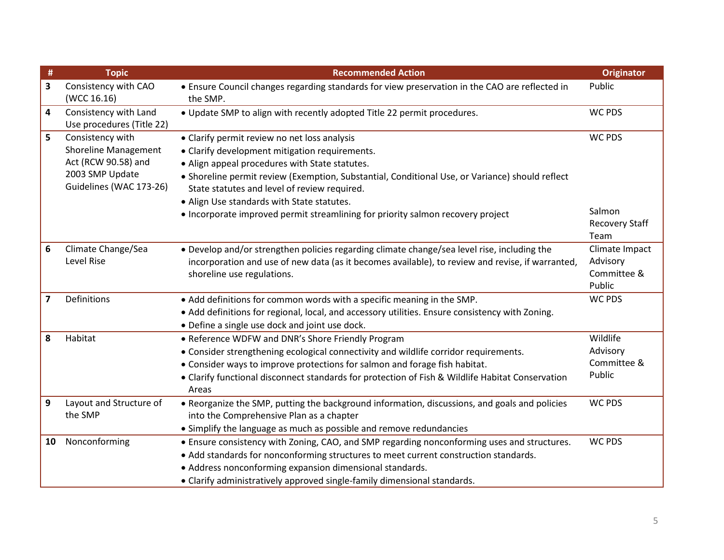| #  | <b>Topic</b>                                                                                                         | <b>Recommended Action</b>                                                                                                                                                                                                                                                                                                                                                                                                            | <b>Originator</b>                                        |
|----|----------------------------------------------------------------------------------------------------------------------|--------------------------------------------------------------------------------------------------------------------------------------------------------------------------------------------------------------------------------------------------------------------------------------------------------------------------------------------------------------------------------------------------------------------------------------|----------------------------------------------------------|
| 3  | Consistency with CAO<br>(WCC 16.16)                                                                                  | • Ensure Council changes regarding standards for view preservation in the CAO are reflected in<br>the SMP.                                                                                                                                                                                                                                                                                                                           | Public                                                   |
| 4  | Consistency with Land<br>Use procedures (Title 22)                                                                   | . Update SMP to align with recently adopted Title 22 permit procedures.                                                                                                                                                                                                                                                                                                                                                              | <b>WC PDS</b>                                            |
| 5  | Consistency with<br><b>Shoreline Management</b><br>Act (RCW 90.58) and<br>2003 SMP Update<br>Guidelines (WAC 173-26) | • Clarify permit review no net loss analysis<br>• Clarify development mitigation requirements.<br>• Align appeal procedures with State statutes.<br>• Shoreline permit review (Exemption, Substantial, Conditional Use, or Variance) should reflect<br>State statutes and level of review required.<br>. Align Use standards with State statutes.<br>• Incorporate improved permit streamlining for priority salmon recovery project | <b>WC PDS</b><br>Salmon<br><b>Recovery Staff</b><br>Team |
| 6  | Climate Change/Sea<br>Level Rise                                                                                     | • Develop and/or strengthen policies regarding climate change/sea level rise, including the<br>incorporation and use of new data (as it becomes available), to review and revise, if warranted,<br>shoreline use regulations.                                                                                                                                                                                                        | Climate Impact<br>Advisory<br>Committee &<br>Public      |
| 7  | Definitions                                                                                                          | • Add definitions for common words with a specific meaning in the SMP.<br>• Add definitions for regional, local, and accessory utilities. Ensure consistency with Zoning.<br>• Define a single use dock and joint use dock.                                                                                                                                                                                                          | <b>WC PDS</b>                                            |
| 8  | Habitat                                                                                                              | • Reference WDFW and DNR's Shore Friendly Program<br>• Consider strengthening ecological connectivity and wildlife corridor requirements.<br>• Consider ways to improve protections for salmon and forage fish habitat.<br>• Clarify functional disconnect standards for protection of Fish & Wildlife Habitat Conservation<br>Areas                                                                                                 | Wildlife<br>Advisory<br>Committee &<br>Public            |
| 9  | Layout and Structure of<br>the SMP                                                                                   | • Reorganize the SMP, putting the background information, discussions, and goals and policies<br>into the Comprehensive Plan as a chapter<br>• Simplify the language as much as possible and remove redundancies                                                                                                                                                                                                                     | <b>WC PDS</b>                                            |
| 10 | Nonconforming                                                                                                        | • Ensure consistency with Zoning, CAO, and SMP regarding nonconforming uses and structures.<br>• Add standards for nonconforming structures to meet current construction standards.<br>• Address nonconforming expansion dimensional standards.<br>• Clarify administratively approved single-family dimensional standards.                                                                                                          | <b>WC PDS</b>                                            |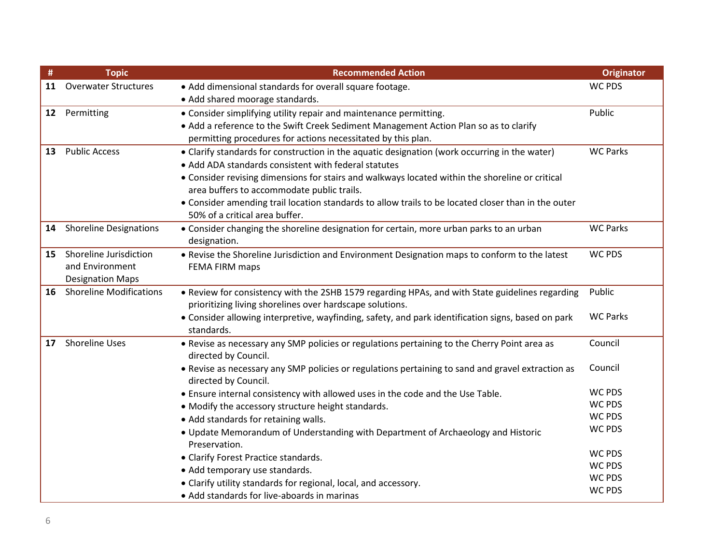| #  | <b>Topic</b>                   | <b>Recommended Action</b>                                                                                                 | <b>Originator</b> |
|----|--------------------------------|---------------------------------------------------------------------------------------------------------------------------|-------------------|
| 11 | <b>Overwater Structures</b>    | • Add dimensional standards for overall square footage.                                                                   | <b>WC PDS</b>     |
|    |                                | · Add shared moorage standards.                                                                                           |                   |
| 12 | Permitting                     | • Consider simplifying utility repair and maintenance permitting.                                                         | Public            |
|    |                                | • Add a reference to the Swift Creek Sediment Management Action Plan so as to clarify                                     |                   |
|    |                                | permitting procedures for actions necessitated by this plan.                                                              |                   |
| 13 | <b>Public Access</b>           | • Clarify standards for construction in the aquatic designation (work occurring in the water)                             | <b>WC Parks</b>   |
|    |                                | • Add ADA standards consistent with federal statutes                                                                      |                   |
|    |                                | • Consider revising dimensions for stairs and walkways located within the shoreline or critical                           |                   |
|    |                                | area buffers to accommodate public trails.                                                                                |                   |
|    |                                | • Consider amending trail location standards to allow trails to be located closer than in the outer                       |                   |
|    |                                | 50% of a critical area buffer.                                                                                            |                   |
| 14 | <b>Shoreline Designations</b>  | • Consider changing the shoreline designation for certain, more urban parks to an urban                                   | <b>WC Parks</b>   |
|    |                                | designation.                                                                                                              |                   |
| 15 | Shoreline Jurisdiction         | . Revise the Shoreline Jurisdiction and Environment Designation maps to conform to the latest                             | <b>WC PDS</b>     |
|    | and Environment                | FEMA FIRM maps                                                                                                            |                   |
|    | <b>Designation Maps</b>        |                                                                                                                           |                   |
| 16 | <b>Shoreline Modifications</b> | • Review for consistency with the 2SHB 1579 regarding HPAs, and with State guidelines regarding                           | Public            |
|    |                                | prioritizing living shorelines over hardscape solutions.                                                                  | <b>WC Parks</b>   |
|    |                                | • Consider allowing interpretive, wayfinding, safety, and park identification signs, based on park                        |                   |
|    |                                | standards.                                                                                                                |                   |
| 17 | <b>Shoreline Uses</b>          | . Revise as necessary any SMP policies or regulations pertaining to the Cherry Point area as<br>directed by Council.      | Council           |
|    |                                | • Revise as necessary any SMP policies or regulations pertaining to sand and gravel extraction as<br>directed by Council. | Council           |
|    |                                | . Ensure internal consistency with allowed uses in the code and the Use Table.                                            | <b>WC PDS</b>     |
|    |                                | • Modify the accessory structure height standards.                                                                        | <b>WC PDS</b>     |
|    |                                | • Add standards for retaining walls.                                                                                      | <b>WC PDS</b>     |
|    |                                | . Update Memorandum of Understanding with Department of Archaeology and Historic                                          | <b>WC PDS</b>     |
|    |                                | Preservation.                                                                                                             |                   |
|    |                                | • Clarify Forest Practice standards.                                                                                      | <b>WC PDS</b>     |
|    |                                | • Add temporary use standards.                                                                                            | <b>WC PDS</b>     |
|    |                                | • Clarify utility standards for regional, local, and accessory.                                                           | WC PDS            |
|    |                                | • Add standards for live-aboards in marinas                                                                               | <b>WC PDS</b>     |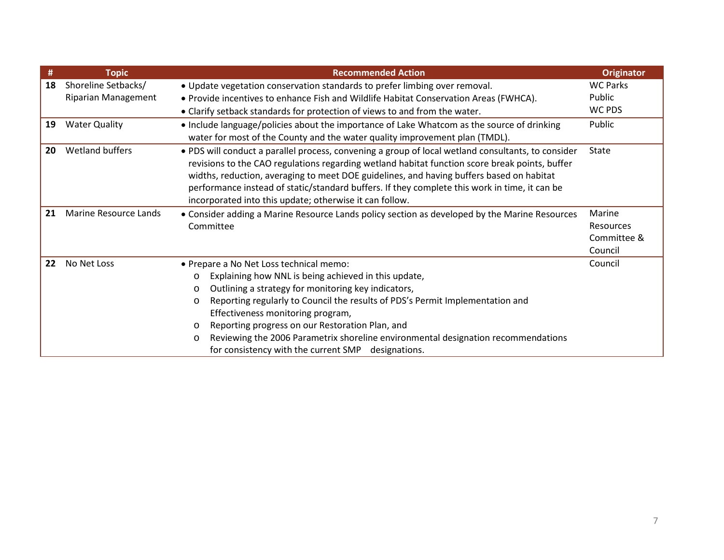| #  | <b>Topic</b>               | <b>Recommended Action</b>                                                                                                                                                                                                                                                                                                                                                                                                                                                                                             | <b>Originator</b>                             |
|----|----------------------------|-----------------------------------------------------------------------------------------------------------------------------------------------------------------------------------------------------------------------------------------------------------------------------------------------------------------------------------------------------------------------------------------------------------------------------------------------------------------------------------------------------------------------|-----------------------------------------------|
| 18 | Shoreline Setbacks/        | . Update vegetation conservation standards to prefer limbing over removal.                                                                                                                                                                                                                                                                                                                                                                                                                                            | <b>WC Parks</b>                               |
|    | <b>Riparian Management</b> | • Provide incentives to enhance Fish and Wildlife Habitat Conservation Areas (FWHCA).                                                                                                                                                                                                                                                                                                                                                                                                                                 | Public                                        |
|    |                            | • Clarify setback standards for protection of views to and from the water.                                                                                                                                                                                                                                                                                                                                                                                                                                            | WC PDS                                        |
| 19 | <b>Water Quality</b>       | • Include language/policies about the importance of Lake Whatcom as the source of drinking<br>water for most of the County and the water quality improvement plan (TMDL).                                                                                                                                                                                                                                                                                                                                             | Public                                        |
| 20 | Wetland buffers            | . PDS will conduct a parallel process, convening a group of local wetland consultants, to consider<br>revisions to the CAO regulations regarding wetland habitat function score break points, buffer<br>widths, reduction, averaging to meet DOE guidelines, and having buffers based on habitat<br>performance instead of static/standard buffers. If they complete this work in time, it can be<br>incorporated into this update; otherwise it can follow.                                                          | <b>State</b>                                  |
| 21 | Marine Resource Lands      | • Consider adding a Marine Resource Lands policy section as developed by the Marine Resources<br>Committee                                                                                                                                                                                                                                                                                                                                                                                                            | Marine<br>Resources<br>Committee &<br>Council |
| 22 | No Net Loss                | • Prepare a No Net Loss technical memo:<br>Explaining how NNL is being achieved in this update,<br>$\circ$<br>Outlining a strategy for monitoring key indicators,<br>O<br>Reporting regularly to Council the results of PDS's Permit Implementation and<br>O<br>Effectiveness monitoring program,<br>Reporting progress on our Restoration Plan, and<br>$\circ$<br>Reviewing the 2006 Parametrix shoreline environmental designation recommendations<br>$\circ$<br>for consistency with the current SMP designations. | Council                                       |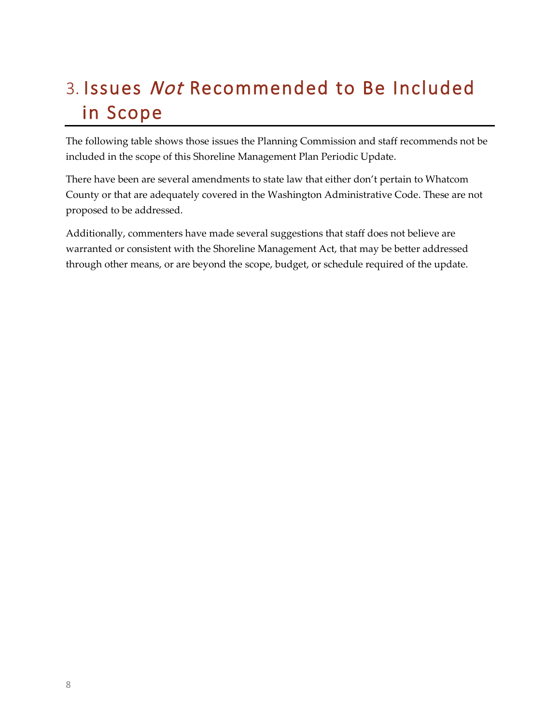## <span id="page-11-0"></span>3. Issues Not Recommended to Be Included in Scope

The following table shows those issues the Planning Commission and staff recommends not be included in the scope of this Shoreline Management Plan Periodic Update.

There have been are several amendments to state law that either don't pertain to Whatcom County or that are adequately covered in the Washington Administrative Code. These are not proposed to be addressed.

Additionally, commenters have made several suggestions that staff does not believe are warranted or consistent with the Shoreline Management Act, that may be better addressed through other means, or are beyond the scope, budget, or schedule required of the update.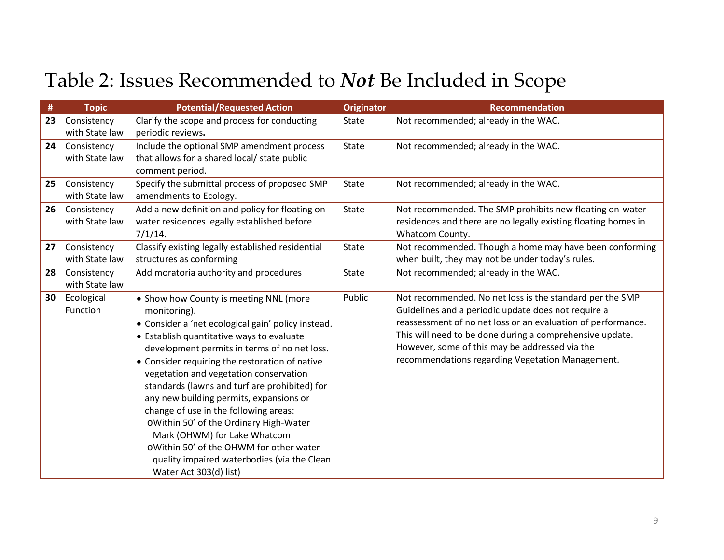# Table 2: Issues Recommended to *Not* Be Included in Scope

| #  | <b>Topic</b>   | <b>Potential/Requested Action</b>                                       | <b>Originator</b> | <b>Recommendation</b>                                          |
|----|----------------|-------------------------------------------------------------------------|-------------------|----------------------------------------------------------------|
| 23 | Consistency    | Clarify the scope and process for conducting                            | <b>State</b>      | Not recommended; already in the WAC.                           |
|    | with State law | periodic reviews.                                                       |                   |                                                                |
| 24 | Consistency    | Include the optional SMP amendment process                              | <b>State</b>      | Not recommended; already in the WAC.                           |
|    | with State law | that allows for a shared local/ state public                            |                   |                                                                |
|    |                | comment period.                                                         |                   |                                                                |
| 25 | Consistency    | Specify the submittal process of proposed SMP                           | <b>State</b>      | Not recommended; already in the WAC.                           |
|    | with State law | amendments to Ecology.                                                  |                   |                                                                |
| 26 | Consistency    | Add a new definition and policy for floating on-                        | <b>State</b>      | Not recommended. The SMP prohibits new floating on-water       |
|    | with State law | water residences legally established before                             |                   | residences and there are no legally existing floating homes in |
|    |                | $7/1/14$ .                                                              |                   | Whatcom County.                                                |
| 27 | Consistency    | Classify existing legally established residential                       | <b>State</b>      | Not recommended. Though a home may have been conforming        |
|    | with State law | structures as conforming                                                |                   | when built, they may not be under today's rules.               |
| 28 | Consistency    | Add moratoria authority and procedures                                  | <b>State</b>      | Not recommended; already in the WAC.                           |
|    | with State law |                                                                         |                   |                                                                |
| 30 | Ecological     | • Show how County is meeting NNL (more                                  | Public            | Not recommended. No net loss is the standard per the SMP       |
|    | Function       | monitoring).                                                            |                   | Guidelines and a periodic update does not require a            |
|    |                | • Consider a 'net ecological gain' policy instead.                      |                   | reassessment of no net loss or an evaluation of performance.   |
|    |                | • Establish quantitative ways to evaluate                               |                   | This will need to be done during a comprehensive update.       |
|    |                | development permits in terms of no net loss.                            |                   | However, some of this may be addressed via the                 |
|    |                | • Consider requiring the restoration of native                          |                   | recommendations regarding Vegetation Management.               |
|    |                | vegetation and vegetation conservation                                  |                   |                                                                |
|    |                | standards (lawns and turf are prohibited) for                           |                   |                                                                |
|    |                | any new building permits, expansions or                                 |                   |                                                                |
|    |                | change of use in the following areas:                                   |                   |                                                                |
|    |                | oWithin 50' of the Ordinary High-Water                                  |                   |                                                                |
|    |                | Mark (OHWM) for Lake Whatcom<br>oWithin 50' of the OHWM for other water |                   |                                                                |
|    |                |                                                                         |                   |                                                                |
|    |                | quality impaired waterbodies (via the Clean                             |                   |                                                                |
|    |                | Water Act 303(d) list)                                                  |                   |                                                                |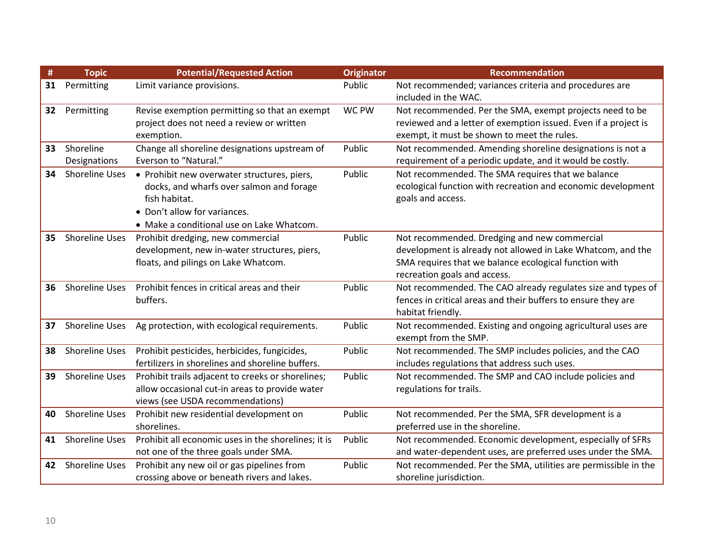| #  | <b>Topic</b>              | <b>Potential/Requested Action</b>                                                                                                                                                     | <b>Originator</b> | <b>Recommendation</b>                                                                                                                                                                                |
|----|---------------------------|---------------------------------------------------------------------------------------------------------------------------------------------------------------------------------------|-------------------|------------------------------------------------------------------------------------------------------------------------------------------------------------------------------------------------------|
| 31 | Permitting                | Limit variance provisions.                                                                                                                                                            | Public            | Not recommended; variances criteria and procedures are<br>included in the WAC.                                                                                                                       |
| 32 | Permitting                | Revise exemption permitting so that an exempt<br>project does not need a review or written<br>exemption.                                                                              | WC PW             | Not recommended. Per the SMA, exempt projects need to be<br>reviewed and a letter of exemption issued. Even if a project is<br>exempt, it must be shown to meet the rules.                           |
| 33 | Shoreline<br>Designations | Change all shoreline designations upstream of<br>Everson to "Natural."                                                                                                                | Public            | Not recommended. Amending shoreline designations is not a<br>requirement of a periodic update, and it would be costly.                                                                               |
| 34 | Shoreline Uses            | • Prohibit new overwater structures, piers,<br>docks, and wharfs over salmon and forage<br>fish habitat.<br>• Don't allow for variances.<br>• Make a conditional use on Lake Whatcom. | Public            | Not recommended. The SMA requires that we balance<br>ecological function with recreation and economic development<br>goals and access.                                                               |
| 35 | Shoreline Uses            | Prohibit dredging, new commercial<br>development, new in-water structures, piers,<br>floats, and pilings on Lake Whatcom.                                                             | Public            | Not recommended. Dredging and new commercial<br>development is already not allowed in Lake Whatcom, and the<br>SMA requires that we balance ecological function with<br>recreation goals and access. |
| 36 | Shoreline Uses            | Prohibit fences in critical areas and their<br>buffers.                                                                                                                               | Public            | Not recommended. The CAO already regulates size and types of<br>fences in critical areas and their buffers to ensure they are<br>habitat friendly.                                                   |
| 37 | <b>Shoreline Uses</b>     | Ag protection, with ecological requirements.                                                                                                                                          | Public            | Not recommended. Existing and ongoing agricultural uses are<br>exempt from the SMP.                                                                                                                  |
| 38 | Shoreline Uses            | Prohibit pesticides, herbicides, fungicides,<br>fertilizers in shorelines and shoreline buffers.                                                                                      | Public            | Not recommended. The SMP includes policies, and the CAO<br>includes regulations that address such uses.                                                                                              |
| 39 | <b>Shoreline Uses</b>     | Prohibit trails adjacent to creeks or shorelines;<br>allow occasional cut-in areas to provide water<br>views (see USDA recommendations)                                               | Public            | Not recommended. The SMP and CAO include policies and<br>regulations for trails.                                                                                                                     |
| 40 | <b>Shoreline Uses</b>     | Prohibit new residential development on<br>shorelines.                                                                                                                                | Public            | Not recommended. Per the SMA, SFR development is a<br>preferred use in the shoreline.                                                                                                                |
| 41 | <b>Shoreline Uses</b>     | Prohibit all economic uses in the shorelines; it is<br>not one of the three goals under SMA.                                                                                          | Public            | Not recommended. Economic development, especially of SFRs<br>and water-dependent uses, are preferred uses under the SMA.                                                                             |
| 42 | <b>Shoreline Uses</b>     | Prohibit any new oil or gas pipelines from<br>crossing above or beneath rivers and lakes.                                                                                             | Public            | Not recommended. Per the SMA, utilities are permissible in the<br>shoreline jurisdiction.                                                                                                            |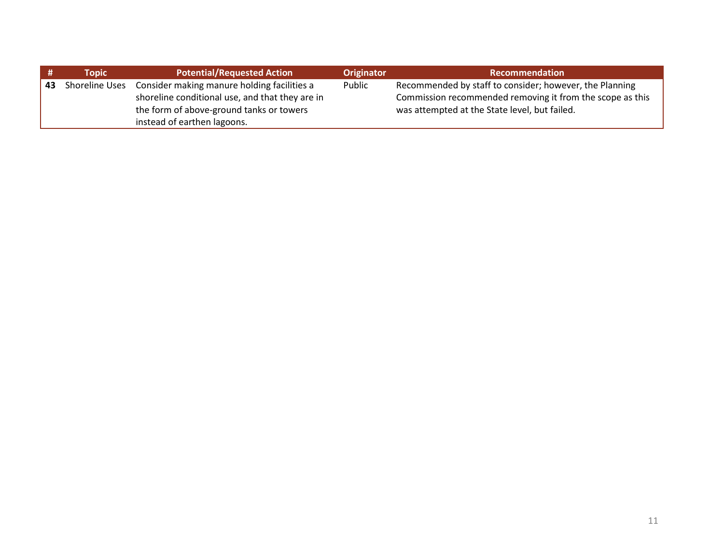|    | Topic                 | <b>Potential/Requested Action</b>               | <b>Originator</b> | <b>Recommendation</b>                                     |
|----|-----------------------|-------------------------------------------------|-------------------|-----------------------------------------------------------|
| 43 | <b>Shoreline Uses</b> | Consider making manure holding facilities a     | Public            | Recommended by staff to consider; however, the Planning   |
|    |                       | shoreline conditional use, and that they are in |                   | Commission recommended removing it from the scope as this |
|    |                       | the form of above-ground tanks or towers        |                   | was attempted at the State level, but failed.             |
|    |                       | instead of earthen lagoons.                     |                   |                                                           |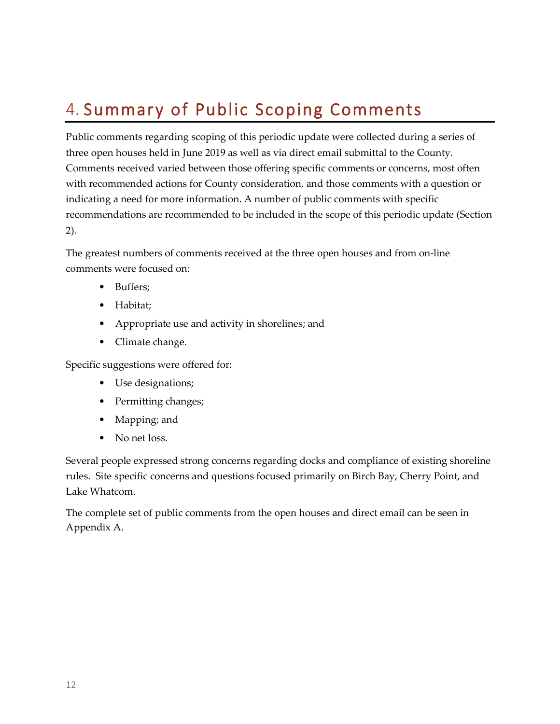## <span id="page-15-0"></span>4. Summary of Public Scoping Comments

Public comments regarding scoping of this periodic update were collected during a series of three open houses held in June 2019 as well as via direct email submittal to the County. Comments received varied between those offering specific comments or concerns, most often with recommended actions for County consideration, and those comments with a question or indicating a need for more information. A number of public comments with specific recommendations are recommended to be included in the scope of this periodic update (Section 2).

The greatest numbers of comments received at the three open houses and from on-line comments were focused on:

- Buffers;
- Habitat;
- Appropriate use and activity in shorelines; and
- Climate change.

Specific suggestions were offered for:

- Use designations;
- Permitting changes;
- Mapping; and
- No net loss.

Several people expressed strong concerns regarding docks and compliance of existing shoreline rules. Site specific concerns and questions focused primarily on Birch Bay, Cherry Point, and Lake Whatcom.

The complete set of public comments from the open houses and direct email can be seen in Appendix A.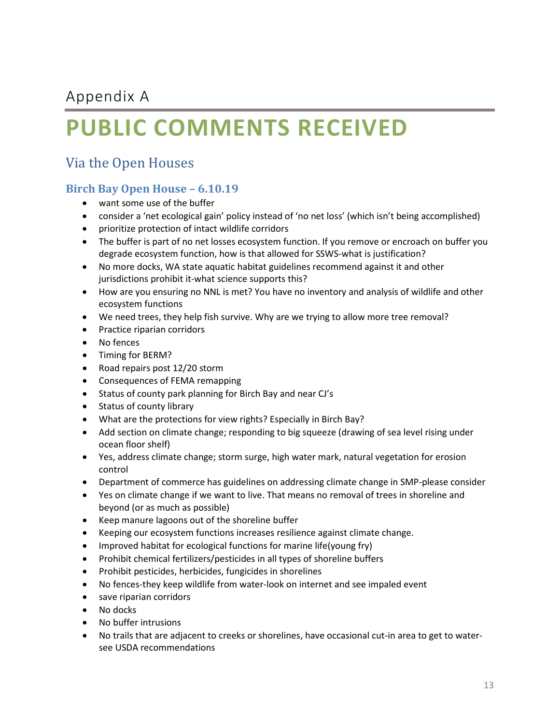### <span id="page-16-0"></span>Appendix A

# **PUBLIC COMMENTS RECEIVED**

### Via the Open Houses

#### **Birch Bay Open House – 6.10.19**

- want some use of the buffer
- consider a 'net ecological gain' policy instead of 'no net loss' (which isn't being accomplished)
- prioritize protection of intact wildlife corridors
- The buffer is part of no net losses ecosystem function. If you remove or encroach on buffer you degrade ecosystem function, how is that allowed for SSWS-what is justification?
- No more docks, WA state aquatic habitat guidelines recommend against it and other jurisdictions prohibit it-what science supports this?
- How are you ensuring no NNL is met? You have no inventory and analysis of wildlife and other ecosystem functions
- We need trees, they help fish survive. Why are we trying to allow more tree removal?
- Practice riparian corridors
- No fences
- Timing for BERM?
- Road repairs post 12/20 storm
- Consequences of FEMA remapping
- Status of county park planning for Birch Bay and near CJ's
- Status of county library
- What are the protections for view rights? Especially in Birch Bay?
- Add section on climate change; responding to big squeeze (drawing of sea level rising under ocean floor shelf)
- Yes, address climate change; storm surge, high water mark, natural vegetation for erosion control
- Department of commerce has guidelines on addressing climate change in SMP-please consider
- Yes on climate change if we want to live. That means no removal of trees in shoreline and beyond (or as much as possible)
- Keep manure lagoons out of the shoreline buffer
- Keeping our ecosystem functions increases resilience against climate change.
- Improved habitat for ecological functions for marine life(young fry)
- Prohibit chemical fertilizers/pesticides in all types of shoreline buffers
- Prohibit pesticides, herbicides, fungicides in shorelines
- No fences-they keep wildlife from water-look on internet and see impaled event
- save riparian corridors
- No docks
- No buffer intrusions
- No trails that are adjacent to creeks or shorelines, have occasional cut-in area to get to watersee USDA recommendations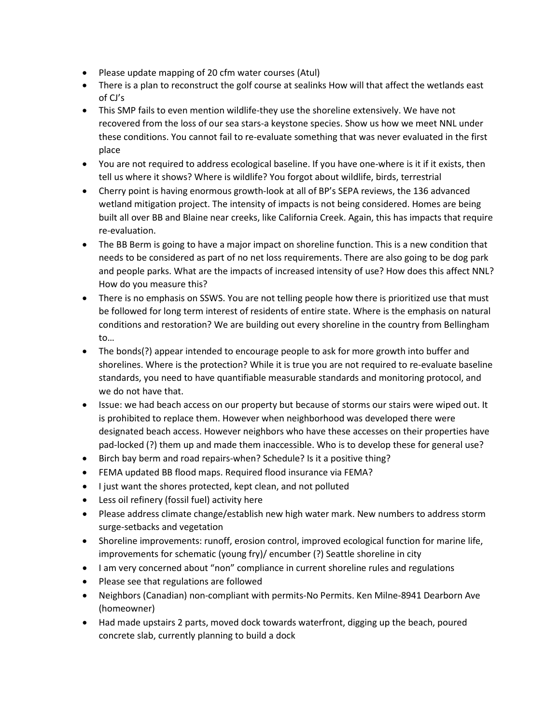- Please update mapping of 20 cfm water courses (Atul)
- There is a plan to reconstruct the golf course at sealinks How will that affect the wetlands east of CJ's
- This SMP fails to even mention wildlife-they use the shoreline extensively. We have not recovered from the loss of our sea stars-a keystone species. Show us how we meet NNL under these conditions. You cannot fail to re-evaluate something that was never evaluated in the first place
- You are not required to address ecological baseline. If you have one-where is it if it exists, then tell us where it shows? Where is wildlife? You forgot about wildlife, birds, terrestrial
- Cherry point is having enormous growth-look at all of BP's SEPA reviews, the 136 advanced wetland mitigation project. The intensity of impacts is not being considered. Homes are being built all over BB and Blaine near creeks, like California Creek. Again, this has impacts that require re-evaluation.
- The BB Berm is going to have a major impact on shoreline function. This is a new condition that needs to be considered as part of no net loss requirements. There are also going to be dog park and people parks. What are the impacts of increased intensity of use? How does this affect NNL? How do you measure this?
- There is no emphasis on SSWS. You are not telling people how there is prioritized use that must be followed for long term interest of residents of entire state. Where is the emphasis on natural conditions and restoration? We are building out every shoreline in the country from Bellingham to…
- The bonds(?) appear intended to encourage people to ask for more growth into buffer and shorelines. Where is the protection? While it is true you are not required to re-evaluate baseline standards, you need to have quantifiable measurable standards and monitoring protocol, and we do not have that.
- Issue: we had beach access on our property but because of storms our stairs were wiped out. It is prohibited to replace them. However when neighborhood was developed there were designated beach access. However neighbors who have these accesses on their properties have pad-locked (?) them up and made them inaccessible. Who is to develop these for general use?
- Birch bay berm and road repairs-when? Schedule? Is it a positive thing?
- FEMA updated BB flood maps. Required flood insurance via FEMA?
- I just want the shores protected, kept clean, and not polluted
- Less oil refinery (fossil fuel) activity here
- Please address climate change/establish new high water mark. New numbers to address storm surge-setbacks and vegetation
- Shoreline improvements: runoff, erosion control, improved ecological function for marine life, improvements for schematic (young fry)/ encumber (?) Seattle shoreline in city
- I am very concerned about "non" compliance in current shoreline rules and regulations
- Please see that regulations are followed
- Neighbors (Canadian) non-compliant with permits-No Permits. Ken Milne-8941 Dearborn Ave (homeowner)
- Had made upstairs 2 parts, moved dock towards waterfront, digging up the beach, poured concrete slab, currently planning to build a dock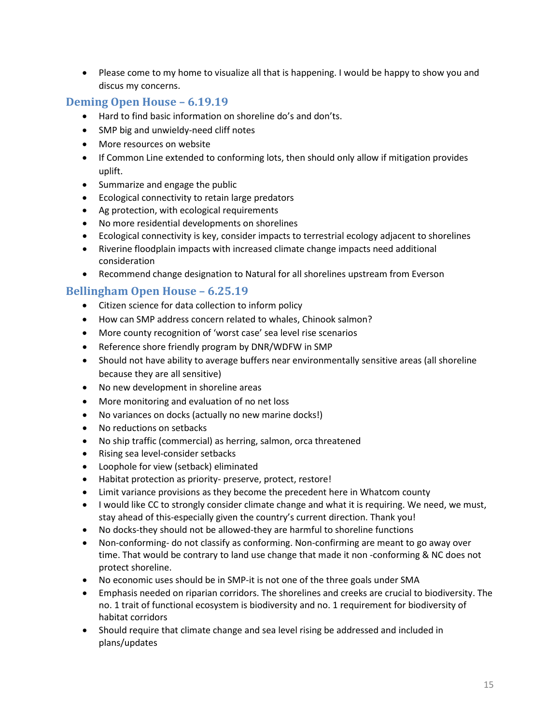• Please come to my home to visualize all that is happening. I would be happy to show you and discus my concerns.

#### **Deming Open House – 6.19.19**

- Hard to find basic information on shoreline do's and don'ts.
- SMP big and unwieldy-need cliff notes
- More resources on website
- If Common Line extended to conforming lots, then should only allow if mitigation provides uplift.
- Summarize and engage the public
- Ecological connectivity to retain large predators
- Ag protection, with ecological requirements
- No more residential developments on shorelines
- Ecological connectivity is key, consider impacts to terrestrial ecology adjacent to shorelines
- Riverine floodplain impacts with increased climate change impacts need additional consideration
- Recommend change designation to Natural for all shorelines upstream from Everson

#### **Bellingham Open House – 6.25.19**

- Citizen science for data collection to inform policy
- How can SMP address concern related to whales, Chinook salmon?
- More county recognition of 'worst case' sea level rise scenarios
- Reference shore friendly program by DNR/WDFW in SMP
- Should not have ability to average buffers near environmentally sensitive areas (all shoreline because they are all sensitive)
- No new development in shoreline areas
- More monitoring and evaluation of no net loss
- No variances on docks (actually no new marine docks!)
- No reductions on setbacks
- No ship traffic (commercial) as herring, salmon, orca threatened
- Rising sea level-consider setbacks
- Loophole for view (setback) eliminated
- Habitat protection as priority- preserve, protect, restore!
- Limit variance provisions as they become the precedent here in Whatcom county
- I would like CC to strongly consider climate change and what it is requiring. We need, we must, stay ahead of this-especially given the country's current direction. Thank you!
- No docks-they should not be allowed-they are harmful to shoreline functions
- Non-conforming- do not classify as conforming. Non-confirming are meant to go away over time. That would be contrary to land use change that made it non -conforming & NC does not protect shoreline.
- No economic uses should be in SMP-it is not one of the three goals under SMA
- Emphasis needed on riparian corridors. The shorelines and creeks are crucial to biodiversity. The no. 1 trait of functional ecosystem is biodiversity and no. 1 requirement for biodiversity of habitat corridors
- Should require that climate change and sea level rising be addressed and included in plans/updates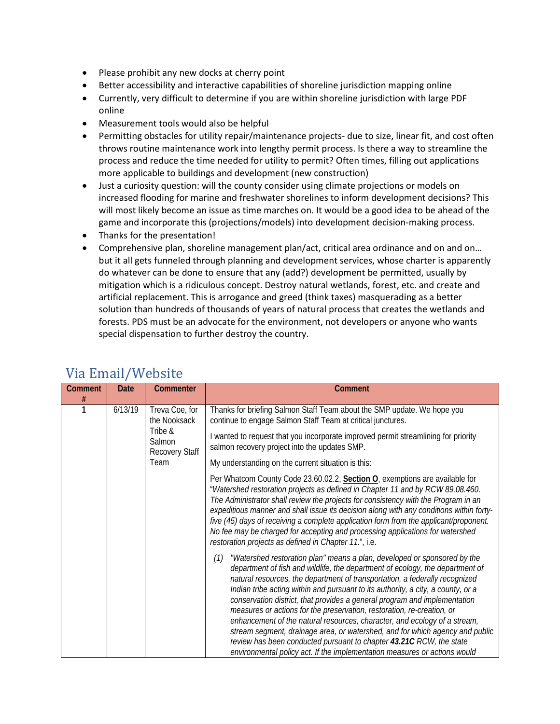- Please prohibit any new docks at cherry point
- Better accessibility and interactive capabilities of shoreline jurisdiction mapping online
- Currently, very difficult to determine if you are within shoreline jurisdiction with large PDF online
- Measurement tools would also be helpful
- Permitting obstacles for utility repair/maintenance projects- due to size, linear fit, and cost often throws routine maintenance work into lengthy permit process. Is there a way to streamline the process and reduce the time needed for utility to permit? Often times, filling out applications more applicable to buildings and development (new construction)
- Just a curiosity question: will the county consider using climate projections or models on increased flooding for marine and freshwater shorelines to inform development decisions? This will most likely become an issue as time marches on. It would be a good idea to be ahead of the game and incorporate this (projections/models) into development decision-making process.
- Thanks for the presentation!
- Comprehensive plan, shoreline management plan/act, critical area ordinance and on and on... but it all gets funneled through planning and development services, whose charter is apparently do whatever can be done to ensure that any (add?) development be permitted, usually by mitigation which is a ridiculous concept. Destroy natural wetlands, forest, etc. and create and artificial replacement. This is arrogance and greed (think taxes) masquerading as a better solution than hundreds of thousands of years of natural process that creates the wetlands and forests. PDS must be an advocate for the environment, not developers or anyone who wants special dispensation to further destroy the country.

| $\mathbf{r}$ and $\mathbf{r}$ and $\mathbf{r}$ |                                                                                       |                                                                                                                                                                                                                                                                                                                                                                                                                                                                                                                                                                                   |                                                                                                                                                                                                                                                                                                                                                                                                                                                                                                                                                                                                                                                                                                                                                                                                             |  |
|------------------------------------------------|---------------------------------------------------------------------------------------|-----------------------------------------------------------------------------------------------------------------------------------------------------------------------------------------------------------------------------------------------------------------------------------------------------------------------------------------------------------------------------------------------------------------------------------------------------------------------------------------------------------------------------------------------------------------------------------|-------------------------------------------------------------------------------------------------------------------------------------------------------------------------------------------------------------------------------------------------------------------------------------------------------------------------------------------------------------------------------------------------------------------------------------------------------------------------------------------------------------------------------------------------------------------------------------------------------------------------------------------------------------------------------------------------------------------------------------------------------------------------------------------------------------|--|
| <b>Comment</b>                                 | <b>Date</b>                                                                           | Commenter                                                                                                                                                                                                                                                                                                                                                                                                                                                                                                                                                                         | Comment                                                                                                                                                                                                                                                                                                                                                                                                                                                                                                                                                                                                                                                                                                                                                                                                     |  |
| 1                                              | #<br>6/13/19<br>Treva Coe, for<br>the Nooksack<br>Tribe &<br>Salmon<br>Recovery Staff | Thanks for briefing Salmon Staff Team about the SMP update. We hope you<br>continue to engage Salmon Staff Team at critical junctures.                                                                                                                                                                                                                                                                                                                                                                                                                                            |                                                                                                                                                                                                                                                                                                                                                                                                                                                                                                                                                                                                                                                                                                                                                                                                             |  |
|                                                |                                                                                       | I wanted to request that you incorporate improved permit streamlining for priority<br>salmon recovery project into the updates SMP.                                                                                                                                                                                                                                                                                                                                                                                                                                               |                                                                                                                                                                                                                                                                                                                                                                                                                                                                                                                                                                                                                                                                                                                                                                                                             |  |
|                                                |                                                                                       | Team                                                                                                                                                                                                                                                                                                                                                                                                                                                                                                                                                                              | My understanding on the current situation is this:                                                                                                                                                                                                                                                                                                                                                                                                                                                                                                                                                                                                                                                                                                                                                          |  |
|                                                |                                                                                       | Per Whatcom County Code 23.60.02.2, Section O, exemptions are available for<br>"Watershed restoration projects as defined in Chapter 11 and by RCW 89.08.460.<br>The Administrator shall review the projects for consistency with the Program in an<br>expeditious manner and shall issue its decision along with any conditions within forty-<br>five (45) days of receiving a complete application form from the applicant/proponent.<br>No fee may be charged for accepting and processing applications for watershed<br>restoration projects as defined in Chapter 11.", i.e. |                                                                                                                                                                                                                                                                                                                                                                                                                                                                                                                                                                                                                                                                                                                                                                                                             |  |
|                                                |                                                                                       |                                                                                                                                                                                                                                                                                                                                                                                                                                                                                                                                                                                   | "Watershed restoration plan" means a plan, developed or sponsored by the<br>(1)<br>department of fish and wildlife, the department of ecology, the department of<br>natural resources, the department of transportation, a federally recognized<br>Indian tribe acting within and pursuant to its authority, a city, a county, or a<br>conservation district, that provides a general program and implementation<br>measures or actions for the preservation, restoration, re-creation, or<br>enhancement of the natural resources, character, and ecology of a stream,<br>stream segment, drainage area, or watershed, and for which agency and public<br>review has been conducted pursuant to chapter 43.21C RCW, the state<br>environmental policy act. If the implementation measures or actions would |  |

#### Via Email/Website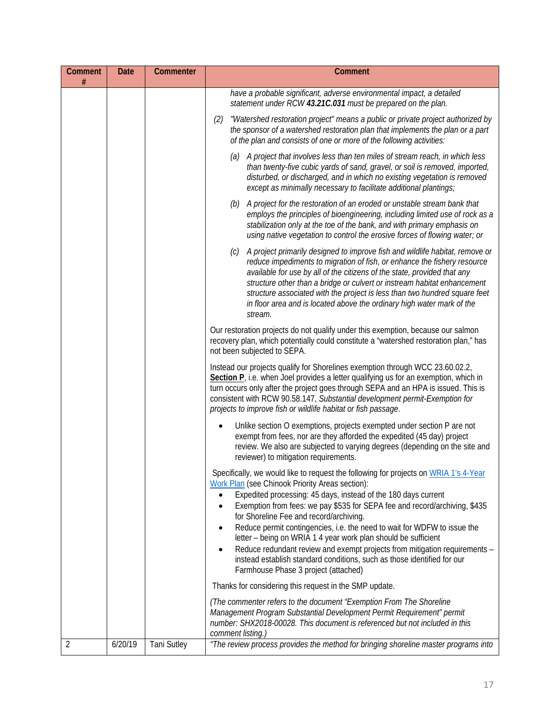| Comment<br># | <b>Date</b> | Commenter          | Comment                                                                                                                                                                                                                                                                                                                                                                                                                                                                                                                                                                                                                                                                                                                  |
|--------------|-------------|--------------------|--------------------------------------------------------------------------------------------------------------------------------------------------------------------------------------------------------------------------------------------------------------------------------------------------------------------------------------------------------------------------------------------------------------------------------------------------------------------------------------------------------------------------------------------------------------------------------------------------------------------------------------------------------------------------------------------------------------------------|
|              |             |                    | have a probable significant, adverse environmental impact, a detailed<br>statement under RCW 43.21C.031 must be prepared on the plan.                                                                                                                                                                                                                                                                                                                                                                                                                                                                                                                                                                                    |
|              |             |                    | "Watershed restoration project" means a public or private project authorized by<br>(2)<br>the sponsor of a watershed restoration plan that implements the plan or a part<br>of the plan and consists of one or more of the following activities:                                                                                                                                                                                                                                                                                                                                                                                                                                                                         |
|              |             |                    | (a) A project that involves less than ten miles of stream reach, in which less<br>than twenty-five cubic yards of sand, gravel, or soil is removed, imported,<br>disturbed, or discharged, and in which no existing vegetation is removed<br>except as minimally necessary to facilitate additional plantings;                                                                                                                                                                                                                                                                                                                                                                                                           |
|              |             |                    | A project for the restoration of an eroded or unstable stream bank that<br>(b)<br>employs the principles of bioengineering, including limited use of rock as a<br>stabilization only at the toe of the bank, and with primary emphasis on<br>using native vegetation to control the erosive forces of flowing water; or                                                                                                                                                                                                                                                                                                                                                                                                  |
|              |             |                    | A project primarily designed to improve fish and wildlife habitat, remove or<br>(c)<br>reduce impediments to migration of fish, or enhance the fishery resource<br>available for use by all of the citizens of the state, provided that any<br>structure other than a bridge or culvert or instream habitat enhancement<br>structure associated with the project is less than two hundred square feet<br>in floor area and is located above the ordinary high water mark of the<br>stream.                                                                                                                                                                                                                               |
|              |             |                    | Our restoration projects do not qualify under this exemption, because our salmon<br>recovery plan, which potentially could constitute a "watershed restoration plan," has<br>not been subjected to SEPA.                                                                                                                                                                                                                                                                                                                                                                                                                                                                                                                 |
|              |             |                    | Instead our projects qualify for Shorelines exemption through WCC 23.60.02.2,<br>Section P <sub>r</sub> i.e. when Joel provides a letter qualifying us for an exemption, which in<br>turn occurs only after the project goes through SEPA and an HPA is issued. This is<br>consistent with RCW 90.58.147, Substantial development permit-Exemption for<br>projects to improve fish or wildlife habitat or fish passage.                                                                                                                                                                                                                                                                                                  |
|              |             |                    | Unlike section O exemptions, projects exempted under section P are not<br>exempt from fees, nor are they afforded the expedited (45 day) project<br>review. We also are subjected to varying degrees (depending on the site and<br>reviewer) to mitigation requirements.                                                                                                                                                                                                                                                                                                                                                                                                                                                 |
|              |             |                    | Specifically, we would like to request the following for projects on WRIA 1's 4-Year<br>Work Plan (see Chinook Priority Areas section):<br>Expedited processing: 45 days, instead of the 180 days current<br>Exemption from fees: we pay \$535 for SEPA fee and record/archiving, \$435<br>$\bullet$<br>for Shoreline Fee and record/archiving.<br>Reduce permit contingencies, i.e. the need to wait for WDFW to issue the<br>$\bullet$<br>letter – being on WRIA 1 4 year work plan should be sufficient<br>Reduce redundant review and exempt projects from mitigation requirements -<br>$\bullet$<br>instead establish standard conditions, such as those identified for our<br>Farmhouse Phase 3 project (attached) |
|              |             |                    | Thanks for considering this request in the SMP update.                                                                                                                                                                                                                                                                                                                                                                                                                                                                                                                                                                                                                                                                   |
|              |             |                    | (The commenter refers to the document "Exemption From The Shoreline<br>Management Program Substantial Development Permit Requirement" permit<br>number: SHX2018-00028. This document is referenced but not included in this<br>comment listing.)                                                                                                                                                                                                                                                                                                                                                                                                                                                                         |
| 2            | 6/20/19     | <b>Tani Sutley</b> | "The review process provides the method for bringing shoreline master programs into                                                                                                                                                                                                                                                                                                                                                                                                                                                                                                                                                                                                                                      |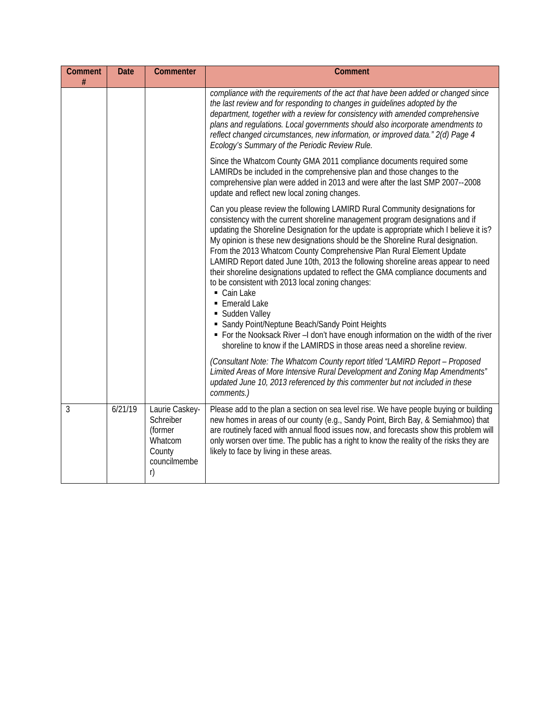| Comment<br># | <b>Date</b> | Commenter                                                                         | <b>Comment</b>                                                                                                                                                                                                                                                                                                                                                                                                                                                                                                                                                                                                                                                                                                                                                                                                                                                                                                         |
|--------------|-------------|-----------------------------------------------------------------------------------|------------------------------------------------------------------------------------------------------------------------------------------------------------------------------------------------------------------------------------------------------------------------------------------------------------------------------------------------------------------------------------------------------------------------------------------------------------------------------------------------------------------------------------------------------------------------------------------------------------------------------------------------------------------------------------------------------------------------------------------------------------------------------------------------------------------------------------------------------------------------------------------------------------------------|
|              |             |                                                                                   | compliance with the requirements of the act that have been added or changed since<br>the last review and for responding to changes in guidelines adopted by the<br>department, together with a review for consistency with amended comprehensive<br>plans and regulations. Local governments should also incorporate amendments to<br>reflect changed circumstances, new information, or improved data." 2(d) Page 4<br>Ecology's Summary of the Periodic Review Rule.                                                                                                                                                                                                                                                                                                                                                                                                                                                 |
|              |             |                                                                                   | Since the Whatcom County GMA 2011 compliance documents required some<br>LAMIRDs be included in the comprehensive plan and those changes to the<br>comprehensive plan were added in 2013 and were after the last SMP 2007--2008<br>update and reflect new local zoning changes.                                                                                                                                                                                                                                                                                                                                                                                                                                                                                                                                                                                                                                         |
|              |             |                                                                                   | Can you please review the following LAMIRD Rural Community designations for<br>consistency with the current shoreline management program designations and if<br>updating the Shoreline Designation for the update is appropriate which I believe it is?<br>My opinion is these new designations should be the Shoreline Rural designation.<br>From the 2013 Whatcom County Comprehensive Plan Rural Element Update<br>LAMIRD Report dated June 10th, 2013 the following shoreline areas appear to need<br>their shoreline designations updated to reflect the GMA compliance documents and<br>to be consistent with 2013 local zoning changes:<br>Cain Lake<br>• Emerald Lake<br>• Sudden Valley<br>• Sandy Point/Neptune Beach/Sandy Point Heights<br>• For the Nooksack River -I don't have enough information on the width of the river<br>shoreline to know if the LAMIRDS in those areas need a shoreline review. |
|              |             |                                                                                   | (Consultant Note: The Whatcom County report titled "LAMIRD Report - Proposed<br>Limited Areas of More Intensive Rural Development and Zoning Map Amendments"<br>updated June 10, 2013 referenced by this commenter but not included in these<br>comments.)                                                                                                                                                                                                                                                                                                                                                                                                                                                                                                                                                                                                                                                             |
| 3            | 6/21/19     | Laurie Caskey-<br>Schreiber<br>(former<br>Whatcom<br>County<br>councilmembe<br>r) | Please add to the plan a section on sea level rise. We have people buying or building<br>new homes in areas of our county (e.g., Sandy Point, Birch Bay, & Semiahmoo) that<br>are routinely faced with annual flood issues now, and forecasts show this problem will<br>only worsen over time. The public has a right to know the reality of the risks they are<br>likely to face by living in these areas.                                                                                                                                                                                                                                                                                                                                                                                                                                                                                                            |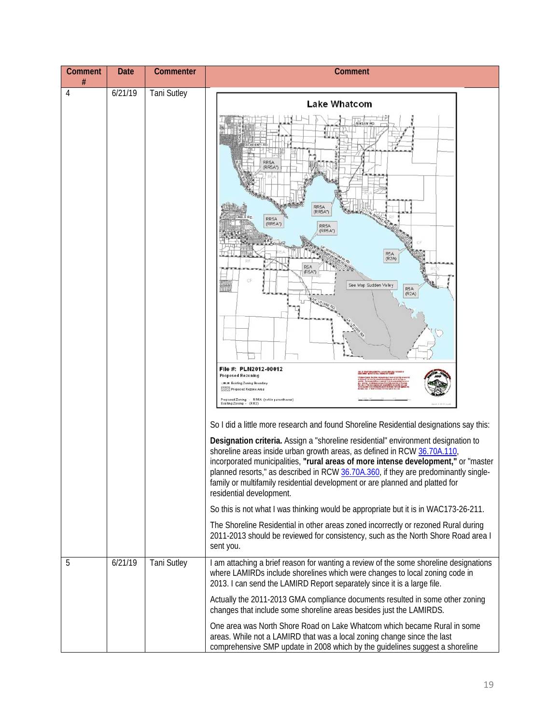| Comment | Date    | Commenter          | <b>Comment</b>                                                                                                                                                                                                                                                                                                                                                                                                                                                                                                                                                                                                                                                                                                                                                                                                                                                                                                                                                                                                                                                                                                                                                                                                                                                                                                     |
|---------|---------|--------------------|--------------------------------------------------------------------------------------------------------------------------------------------------------------------------------------------------------------------------------------------------------------------------------------------------------------------------------------------------------------------------------------------------------------------------------------------------------------------------------------------------------------------------------------------------------------------------------------------------------------------------------------------------------------------------------------------------------------------------------------------------------------------------------------------------------------------------------------------------------------------------------------------------------------------------------------------------------------------------------------------------------------------------------------------------------------------------------------------------------------------------------------------------------------------------------------------------------------------------------------------------------------------------------------------------------------------|
| #<br>4  | 6/21/19 | <b>Tani Sutley</b> | <b>Lake Whatcom</b><br>RR5A<br>(RR5A*)<br>RR5A<br>(RR5A*)<br>RR5A<br>(RR5A*)<br>RR5A<br>(RR5A*)<br>R <sub>5</sub> A<br>(R2A)<br>R5A<br>$(R5A^*)$<br>See Map Sudden Valley<br>R <sub>5</sub> A<br>(R2A)<br>File #: PLN2012-00012<br>EN 19 YOM TON COUNTY & BATH WHILE FIRE UNI<br>HAVE DIEN WITH FIRE POLL DIEN BILL VERT<br><b>Proposed Rezoning</b><br>Existing Zoning Boundary<br>W// Proposed Rezone Area<br>Proposed Zoning - RR5A (not in parentheses)<br>bisting Zoning -<br>So I did a little more research and found Shoreline Residential designations say this:<br>Designation criteria. Assign a "shoreline residential" environment designation to<br>shoreline areas inside urban growth areas, as defined in RCW 36.70A.110,<br>incorporated municipalities, "rural areas of more intense development," or "master<br>planned resorts," as described in RCW 36.70A.360, if they are predominantly single-<br>family or multifamily residential development or are planned and platted for<br>residential development.<br>So this is not what I was thinking would be appropriate but it is in WAC173-26-211.<br>The Shoreline Residential in other areas zoned incorrectly or rezoned Rural during<br>2011-2013 should be reviewed for consistency, such as the North Shore Road area I<br>sent you. |
| 5       | 6/21/19 | <b>Tani Sutley</b> | I am attaching a brief reason for wanting a review of the some shoreline designations<br>where LAMIRDs include shorelines which were changes to local zoning code in<br>2013. I can send the LAMIRD Report separately since it is a large file.<br>Actually the 2011-2013 GMA compliance documents resulted in some other zoning<br>changes that include some shoreline areas besides just the LAMIRDS.                                                                                                                                                                                                                                                                                                                                                                                                                                                                                                                                                                                                                                                                                                                                                                                                                                                                                                            |
|         |         |                    | One area was North Shore Road on Lake Whatcom which became Rural in some<br>areas. While not a LAMIRD that was a local zoning change since the last<br>comprehensive SMP update in 2008 which by the guidelines suggest a shoreline                                                                                                                                                                                                                                                                                                                                                                                                                                                                                                                                                                                                                                                                                                                                                                                                                                                                                                                                                                                                                                                                                |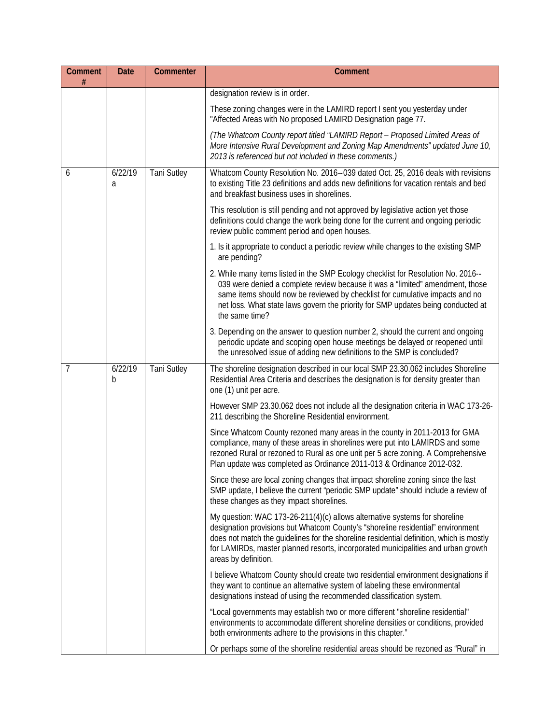| <b>Comment</b><br># | <b>Date</b>  | Commenter          | Comment                                                                                                                                                                                                                                                                                                                                                               |
|---------------------|--------------|--------------------|-----------------------------------------------------------------------------------------------------------------------------------------------------------------------------------------------------------------------------------------------------------------------------------------------------------------------------------------------------------------------|
|                     |              |                    | designation review is in order.                                                                                                                                                                                                                                                                                                                                       |
|                     |              |                    | These zoning changes were in the LAMIRD report I sent you yesterday under<br>"Affected Areas with No proposed LAMIRD Designation page 77.                                                                                                                                                                                                                             |
|                     |              |                    | (The Whatcom County report titled "LAMIRD Report - Proposed Limited Areas of<br>More Intensive Rural Development and Zoning Map Amendments" updated June 10,<br>2013 is referenced but not included in these comments.)                                                                                                                                               |
| 6                   | 6/22/19<br>a | <b>Tani Sutley</b> | Whatcom County Resolution No. 2016--039 dated Oct. 25, 2016 deals with revisions<br>to existing Title 23 definitions and adds new definitions for vacation rentals and bed<br>and breakfast business uses in shorelines.                                                                                                                                              |
|                     |              |                    | This resolution is still pending and not approved by legislative action yet those<br>definitions could change the work being done for the current and ongoing periodic<br>review public comment period and open houses.                                                                                                                                               |
|                     |              |                    | 1. Is it appropriate to conduct a periodic review while changes to the existing SMP<br>are pending?                                                                                                                                                                                                                                                                   |
|                     |              |                    | 2. While many items listed in the SMP Ecology checklist for Resolution No. 2016--<br>039 were denied a complete review because it was a "limited" amendment, those<br>same items should now be reviewed by checklist for cumulative impacts and no<br>net loss. What state laws govern the priority for SMP updates being conducted at<br>the same time?              |
|                     |              |                    | 3. Depending on the answer to question number 2, should the current and ongoing<br>periodic update and scoping open house meetings be delayed or reopened until<br>the unresolved issue of adding new definitions to the SMP is concluded?                                                                                                                            |
| $\overline{7}$      | 6/22/19<br>b | <b>Tani Sutley</b> | The shoreline designation described in our local SMP 23.30.062 includes Shoreline<br>Residential Area Criteria and describes the designation is for density greater than<br>one (1) unit per acre.                                                                                                                                                                    |
|                     |              |                    | However SMP 23.30.062 does not include all the designation criteria in WAC 173-26-<br>211 describing the Shoreline Residential environment.                                                                                                                                                                                                                           |
|                     |              |                    | Since Whatcom County rezoned many areas in the county in 2011-2013 for GMA<br>compliance, many of these areas in shorelines were put into LAMIRDS and some<br>rezoned Rural or rezoned to Rural as one unit per 5 acre zoning. A Comprehensive<br>Plan update was completed as Ordinance 2011-013 & Ordinance 2012-032.                                               |
|                     |              |                    | Since these are local zoning changes that impact shoreline zoning since the last<br>SMP update, I believe the current "periodic SMP update" should include a review of<br>these changes as they impact shorelines.                                                                                                                                                    |
|                     |              |                    | My question: WAC 173-26-211(4)(c) allows alternative systems for shoreline<br>designation provisions but Whatcom County's "shoreline residential" environment<br>does not match the guidelines for the shoreline residential definition, which is mostly<br>for LAMIRDs, master planned resorts, incorporated municipalities and urban growth<br>areas by definition. |
|                     |              |                    | I believe Whatcom County should create two residential environment designations if<br>they want to continue an alternative system of labeling these environmental<br>designations instead of using the recommended classification system.                                                                                                                             |
|                     |              |                    | "Local governments may establish two or more different "shoreline residential"<br>environments to accommodate different shoreline densities or conditions, provided<br>both environments adhere to the provisions in this chapter."                                                                                                                                   |
|                     |              |                    | Or perhaps some of the shoreline residential areas should be rezoned as "Rural" in                                                                                                                                                                                                                                                                                    |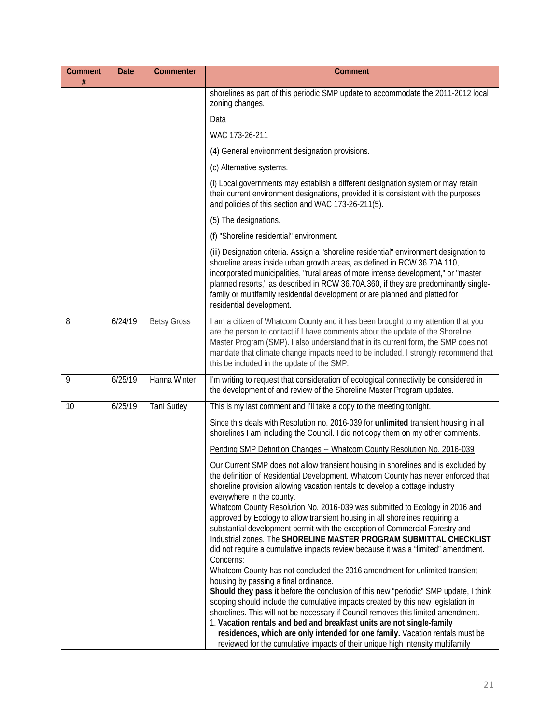| Comment | <b>Date</b> | Commenter          | <b>Comment</b>                                                                                                                                                                                                                                                                                                                                                                                                                                                                                                                                                                                                                                                                                                                                                                                                                                                                                                                                                                                                                                                                                                                                                              |
|---------|-------------|--------------------|-----------------------------------------------------------------------------------------------------------------------------------------------------------------------------------------------------------------------------------------------------------------------------------------------------------------------------------------------------------------------------------------------------------------------------------------------------------------------------------------------------------------------------------------------------------------------------------------------------------------------------------------------------------------------------------------------------------------------------------------------------------------------------------------------------------------------------------------------------------------------------------------------------------------------------------------------------------------------------------------------------------------------------------------------------------------------------------------------------------------------------------------------------------------------------|
|         |             |                    | shorelines as part of this periodic SMP update to accommodate the 2011-2012 local<br>zoning changes.                                                                                                                                                                                                                                                                                                                                                                                                                                                                                                                                                                                                                                                                                                                                                                                                                                                                                                                                                                                                                                                                        |
|         |             |                    | Data                                                                                                                                                                                                                                                                                                                                                                                                                                                                                                                                                                                                                                                                                                                                                                                                                                                                                                                                                                                                                                                                                                                                                                        |
|         |             |                    | WAC 173-26-211                                                                                                                                                                                                                                                                                                                                                                                                                                                                                                                                                                                                                                                                                                                                                                                                                                                                                                                                                                                                                                                                                                                                                              |
|         |             |                    | (4) General environment designation provisions.                                                                                                                                                                                                                                                                                                                                                                                                                                                                                                                                                                                                                                                                                                                                                                                                                                                                                                                                                                                                                                                                                                                             |
|         |             |                    | (c) Alternative systems.                                                                                                                                                                                                                                                                                                                                                                                                                                                                                                                                                                                                                                                                                                                                                                                                                                                                                                                                                                                                                                                                                                                                                    |
|         |             |                    | (i) Local governments may establish a different designation system or may retain<br>their current environment designations, provided it is consistent with the purposes<br>and policies of this section and WAC 173-26-211(5).                                                                                                                                                                                                                                                                                                                                                                                                                                                                                                                                                                                                                                                                                                                                                                                                                                                                                                                                              |
|         |             |                    | (5) The designations.                                                                                                                                                                                                                                                                                                                                                                                                                                                                                                                                                                                                                                                                                                                                                                                                                                                                                                                                                                                                                                                                                                                                                       |
|         |             |                    | (f) "Shoreline residential" environment.                                                                                                                                                                                                                                                                                                                                                                                                                                                                                                                                                                                                                                                                                                                                                                                                                                                                                                                                                                                                                                                                                                                                    |
|         |             |                    | (iii) Designation criteria. Assign a "shoreline residential" environment designation to<br>shoreline areas inside urban growth areas, as defined in RCW 36.70A.110,<br>incorporated municipalities, "rural areas of more intense development," or "master<br>planned resorts," as described in RCW 36.70A.360, if they are predominantly single-<br>family or multifamily residential development or are planned and platted for<br>residential development.                                                                                                                                                                                                                                                                                                                                                                                                                                                                                                                                                                                                                                                                                                                |
| 8       | 6/24/19     | <b>Betsy Gross</b> | I am a citizen of Whatcom County and it has been brought to my attention that you<br>are the person to contact if I have comments about the update of the Shoreline<br>Master Program (SMP). I also understand that in its current form, the SMP does not<br>mandate that climate change impacts need to be included. I strongly recommend that<br>this be included in the update of the SMP.                                                                                                                                                                                                                                                                                                                                                                                                                                                                                                                                                                                                                                                                                                                                                                               |
| 9       | 6/25/19     | Hanna Winter       | I'm writing to request that consideration of ecological connectivity be considered in<br>the development of and review of the Shoreline Master Program updates.                                                                                                                                                                                                                                                                                                                                                                                                                                                                                                                                                                                                                                                                                                                                                                                                                                                                                                                                                                                                             |
| 10      | 6/25/19     | <b>Tani Sutley</b> | This is my last comment and I'll take a copy to the meeting tonight.                                                                                                                                                                                                                                                                                                                                                                                                                                                                                                                                                                                                                                                                                                                                                                                                                                                                                                                                                                                                                                                                                                        |
|         |             |                    | Since this deals with Resolution no. 2016-039 for unlimited transient housing in all<br>shorelines I am including the Council. I did not copy them on my other comments.                                                                                                                                                                                                                                                                                                                                                                                                                                                                                                                                                                                                                                                                                                                                                                                                                                                                                                                                                                                                    |
|         |             |                    | Pending SMP Definition Changes -- Whatcom County Resolution No. 2016-039                                                                                                                                                                                                                                                                                                                                                                                                                                                                                                                                                                                                                                                                                                                                                                                                                                                                                                                                                                                                                                                                                                    |
|         |             |                    | Our Current SMP does not allow transient housing in shorelines and is excluded by<br>the definition of Residential Development. Whatcom County has never enforced that<br>shoreline provision allowing vacation rentals to develop a cottage industry<br>everywhere in the county.<br>Whatcom County Resolution No. 2016-039 was submitted to Ecology in 2016 and<br>approved by Ecology to allow transient housing in all shorelines requiring a<br>substantial development permit with the exception of Commercial Forestry and<br>Industrial zones. The SHORELINE MASTER PROGRAM SUBMITTAL CHECKLIST<br>did not require a cumulative impacts review because it was a "limited" amendment.<br>Concerns:<br>Whatcom County has not concluded the 2016 amendment for unlimited transient<br>housing by passing a final ordinance.<br>Should they pass it before the conclusion of this new "periodic" SMP update, I think<br>scoping should include the cumulative impacts created by this new legislation in<br>shorelines. This will not be necessary if Council removes this limited amendment.<br>1. Vacation rentals and bed and breakfast units are not single-family |
|         |             |                    | residences, which are only intended for one family. Vacation rentals must be<br>reviewed for the cumulative impacts of their unique high intensity multifamily                                                                                                                                                                                                                                                                                                                                                                                                                                                                                                                                                                                                                                                                                                                                                                                                                                                                                                                                                                                                              |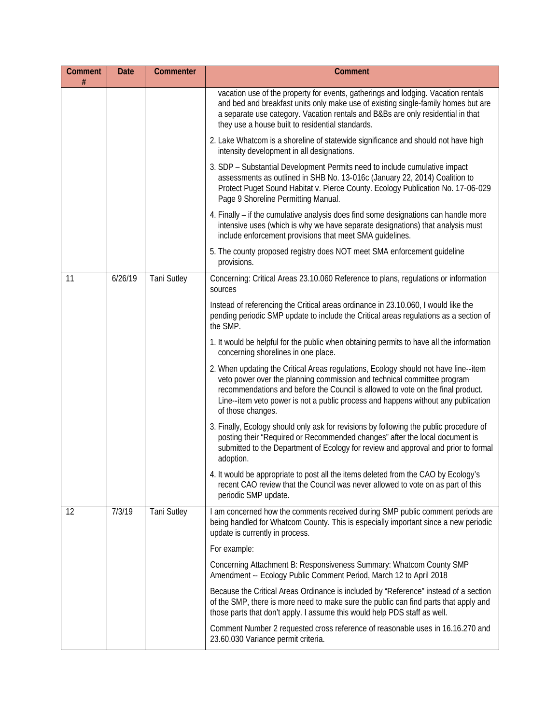| Comment<br># | Date    | Commenter          | <b>Comment</b>                                                                                                                                                                                                                                                                                                                                              |
|--------------|---------|--------------------|-------------------------------------------------------------------------------------------------------------------------------------------------------------------------------------------------------------------------------------------------------------------------------------------------------------------------------------------------------------|
|              |         |                    | vacation use of the property for events, gatherings and lodging. Vacation rentals<br>and bed and breakfast units only make use of existing single-family homes but are<br>a separate use category. Vacation rentals and B&Bs are only residential in that<br>they use a house built to residential standards.                                               |
|              |         |                    | 2. Lake Whatcom is a shoreline of statewide significance and should not have high<br>intensity development in all designations.                                                                                                                                                                                                                             |
|              |         |                    | 3. SDP - Substantial Development Permits need to include cumulative impact<br>assessments as outlined in SHB No. 13-016c (January 22, 2014) Coalition to<br>Protect Puget Sound Habitat v. Pierce County. Ecology Publication No. 17-06-029<br>Page 9 Shoreline Permitting Manual.                                                                          |
|              |         |                    | 4. Finally – if the cumulative analysis does find some designations can handle more<br>intensive uses (which is why we have separate designations) that analysis must<br>include enforcement provisions that meet SMA guidelines.                                                                                                                           |
|              |         |                    | 5. The county proposed registry does NOT meet SMA enforcement guideline<br>provisions.                                                                                                                                                                                                                                                                      |
| 11           | 6/26/19 | <b>Tani Sutley</b> | Concerning: Critical Areas 23.10.060 Reference to plans, regulations or information<br>sources                                                                                                                                                                                                                                                              |
|              |         |                    | Instead of referencing the Critical areas ordinance in 23.10.060, I would like the<br>pending periodic SMP update to include the Critical areas regulations as a section of<br>the SMP.                                                                                                                                                                     |
|              |         |                    | 1. It would be helpful for the public when obtaining permits to have all the information<br>concerning shorelines in one place.                                                                                                                                                                                                                             |
|              |         |                    | 2. When updating the Critical Areas regulations, Ecology should not have line--item<br>veto power over the planning commission and technical committee program<br>recommendations and before the Council is allowed to vote on the final product.<br>Line--item veto power is not a public process and happens without any publication<br>of those changes. |
|              |         |                    | 3. Finally, Ecology should only ask for revisions by following the public procedure of<br>posting their "Required or Recommended changes" after the local document is<br>submitted to the Department of Ecology for review and approval and prior to formal<br>adoption.                                                                                    |
|              |         |                    | 4. It would be appropriate to post all the items deleted from the CAO by Ecology's<br>recent CAO review that the Council was never allowed to vote on as part of this<br>periodic SMP update.                                                                                                                                                               |
| 12           | 7/3/19  | <b>Tani Sutley</b> | I am concerned how the comments received during SMP public comment periods are<br>being handled for Whatcom County. This is especially important since a new periodic<br>update is currently in process.                                                                                                                                                    |
|              |         |                    | For example:                                                                                                                                                                                                                                                                                                                                                |
|              |         |                    | Concerning Attachment B: Responsiveness Summary: Whatcom County SMP<br>Amendment -- Ecology Public Comment Period, March 12 to April 2018                                                                                                                                                                                                                   |
|              |         |                    | Because the Critical Areas Ordinance is included by "Reference" instead of a section<br>of the SMP, there is more need to make sure the public can find parts that apply and<br>those parts that don't apply. I assume this would help PDS staff as well.                                                                                                   |
|              |         |                    | Comment Number 2 requested cross reference of reasonable uses in 16.16.270 and<br>23.60.030 Variance permit criteria.                                                                                                                                                                                                                                       |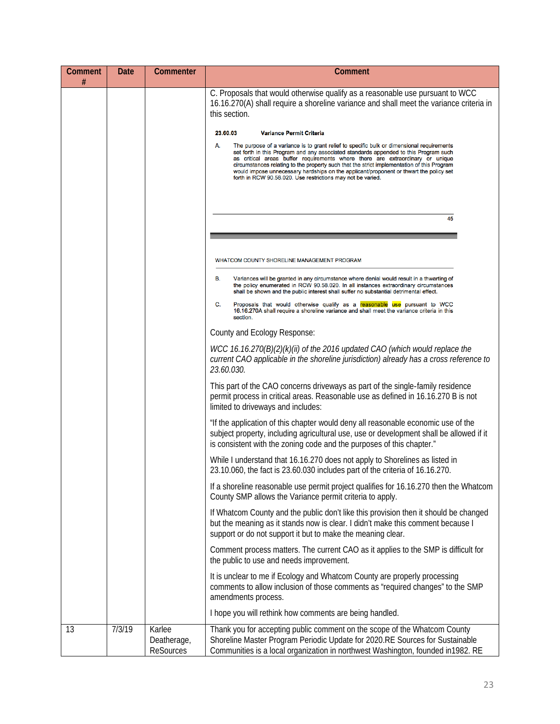| Comment<br># | Date   | Commenter                          | Comment                                                                                                                                                                                                                                                                                                                                                                                                                                                                                                                         |
|--------------|--------|------------------------------------|---------------------------------------------------------------------------------------------------------------------------------------------------------------------------------------------------------------------------------------------------------------------------------------------------------------------------------------------------------------------------------------------------------------------------------------------------------------------------------------------------------------------------------|
|              |        |                                    | C. Proposals that would otherwise qualify as a reasonable use pursuant to WCC<br>16.16.270(A) shall require a shoreline variance and shall meet the variance criteria in<br>this section.                                                                                                                                                                                                                                                                                                                                       |
|              |        |                                    | 23.60.03<br><b>Variance Permit Criteria</b>                                                                                                                                                                                                                                                                                                                                                                                                                                                                                     |
|              |        |                                    | А.<br>The purpose of a variance is to grant relief to specific bulk or dimensional requirements<br>set forth in this Program and any associated standards appended to this Program such<br>as critical areas buffer requirements where there are extraordinary or unique<br>circumstances relating to the property such that the strict implementation of this Program<br>would impose unnecessary hardships on the applicant/proponent or thwart the policy set<br>forth in RCW 90.58.020. Use restrictions may not be varied. |
|              |        |                                    |                                                                                                                                                                                                                                                                                                                                                                                                                                                                                                                                 |
|              |        |                                    | 45                                                                                                                                                                                                                                                                                                                                                                                                                                                                                                                              |
|              |        |                                    |                                                                                                                                                                                                                                                                                                                                                                                                                                                                                                                                 |
|              |        |                                    | WHATCOM COUNTY SHORELINE MANAGEMENT PROGRAM                                                                                                                                                                                                                                                                                                                                                                                                                                                                                     |
|              |        |                                    | В.<br>Variances will be granted in any circumstance where denial would result in a thwarting of<br>the policy enumerated in RCW 90.58.020. In all instances extraordinary circumstances<br>shall be shown and the public interest shall suffer no substantial detrimental effect.                                                                                                                                                                                                                                               |
|              |        |                                    | C.<br>Proposals that would otherwise qualify as a reasonable use pursuant to WCC<br>16.16.270A shall require a shoreline variance and shall meet the variance criteria in this<br>section.                                                                                                                                                                                                                                                                                                                                      |
|              |        |                                    | County and Ecology Response:                                                                                                                                                                                                                                                                                                                                                                                                                                                                                                    |
|              |        |                                    | WCC 16.16.270(B)(2)(k)(ii) of the 2016 updated CAO (which would replace the<br>current CAO applicable in the shoreline jurisdiction) already has a cross reference to<br>23.60.030.                                                                                                                                                                                                                                                                                                                                             |
|              |        |                                    | This part of the CAO concerns driveways as part of the single-family residence<br>permit process in critical areas. Reasonable use as defined in 16.16.270 B is not<br>limited to driveways and includes:                                                                                                                                                                                                                                                                                                                       |
|              |        |                                    | "If the application of this chapter would deny all reasonable economic use of the<br>subject property, including agricultural use, use or development shall be allowed if it<br>is consistent with the zoning code and the purposes of this chapter."                                                                                                                                                                                                                                                                           |
|              |        |                                    | While I understand that 16.16.270 does not apply to Shorelines as listed in<br>23.10.060, the fact is 23.60.030 includes part of the criteria of 16.16.270.                                                                                                                                                                                                                                                                                                                                                                     |
|              |        |                                    | If a shoreline reasonable use permit project qualifies for 16.16.270 then the Whatcom<br>County SMP allows the Variance permit criteria to apply.                                                                                                                                                                                                                                                                                                                                                                               |
|              |        |                                    | If Whatcom County and the public don't like this provision then it should be changed<br>but the meaning as it stands now is clear. I didn't make this comment because I<br>support or do not support it but to make the meaning clear.                                                                                                                                                                                                                                                                                          |
|              |        |                                    | Comment process matters. The current CAO as it applies to the SMP is difficult for<br>the public to use and needs improvement.                                                                                                                                                                                                                                                                                                                                                                                                  |
|              |        |                                    | It is unclear to me if Ecology and Whatcom County are properly processing<br>comments to allow inclusion of those comments as "required changes" to the SMP<br>amendments process.                                                                                                                                                                                                                                                                                                                                              |
|              |        |                                    | I hope you will rethink how comments are being handled.                                                                                                                                                                                                                                                                                                                                                                                                                                                                         |
| 13           | 7/3/19 | Karlee<br>Deatherage,<br>ReSources | Thank you for accepting public comment on the scope of the Whatcom County<br>Shoreline Master Program Periodic Update for 2020.RE Sources for Sustainable<br>Communities is a local organization in northwest Washington, founded in 1982. RE                                                                                                                                                                                                                                                                                   |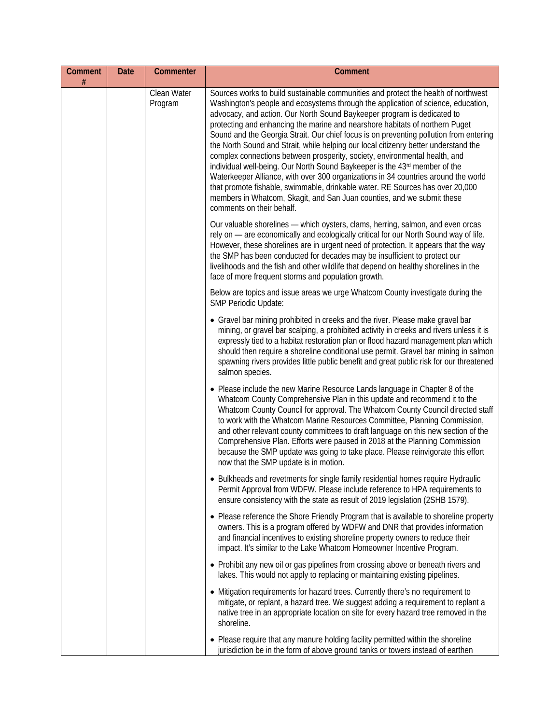| <b>Comment</b><br># | <b>Date</b> | Commenter              | <b>Comment</b>                                                                                                                                                                                                                                                                                                                                                                                                                                                                                                                                                                                                                                                                                                                                                                                                                                                                                                                                                |
|---------------------|-------------|------------------------|---------------------------------------------------------------------------------------------------------------------------------------------------------------------------------------------------------------------------------------------------------------------------------------------------------------------------------------------------------------------------------------------------------------------------------------------------------------------------------------------------------------------------------------------------------------------------------------------------------------------------------------------------------------------------------------------------------------------------------------------------------------------------------------------------------------------------------------------------------------------------------------------------------------------------------------------------------------|
|                     |             | Clean Water<br>Program | Sources works to build sustainable communities and protect the health of northwest<br>Washington's people and ecosystems through the application of science, education,<br>advocacy, and action. Our North Sound Baykeeper program is dedicated to<br>protecting and enhancing the marine and nearshore habitats of northern Puget<br>Sound and the Georgia Strait. Our chief focus is on preventing pollution from entering<br>the North Sound and Strait, while helping our local citizenry better understand the<br>complex connections between prosperity, society, environmental health, and<br>individual well-being. Our North Sound Baykeeper is the 43rd member of the<br>Waterkeeper Alliance, with over 300 organizations in 34 countries around the world<br>that promote fishable, swimmable, drinkable water. RE Sources has over 20,000<br>members in Whatcom, Skagit, and San Juan counties, and we submit these<br>comments on their behalf. |
|                     |             |                        | Our valuable shorelines - which oysters, clams, herring, salmon, and even orcas<br>rely on - are economically and ecologically critical for our North Sound way of life.<br>However, these shorelines are in urgent need of protection. It appears that the way<br>the SMP has been conducted for decades may be insufficient to protect our<br>livelihoods and the fish and other wildlife that depend on healthy shorelines in the<br>face of more frequent storms and population growth.                                                                                                                                                                                                                                                                                                                                                                                                                                                                   |
|                     |             |                        | Below are topics and issue areas we urge Whatcom County investigate during the<br><b>SMP Periodic Update:</b>                                                                                                                                                                                                                                                                                                                                                                                                                                                                                                                                                                                                                                                                                                                                                                                                                                                 |
|                     |             |                        | • Gravel bar mining prohibited in creeks and the river. Please make gravel bar<br>mining, or gravel bar scalping, a prohibited activity in creeks and rivers unless it is<br>expressly tied to a habitat restoration plan or flood hazard management plan which<br>should then require a shoreline conditional use permit. Gravel bar mining in salmon<br>spawning rivers provides little public benefit and great public risk for our threatened<br>salmon species.                                                                                                                                                                                                                                                                                                                                                                                                                                                                                          |
|                     |             |                        | • Please include the new Marine Resource Lands language in Chapter 8 of the<br>Whatcom County Comprehensive Plan in this update and recommend it to the<br>Whatcom County Council for approval. The Whatcom County Council directed staff<br>to work with the Whatcom Marine Resources Committee, Planning Commission,<br>and other relevant county committees to draft language on this new section of the<br>Comprehensive Plan. Efforts were paused in 2018 at the Planning Commission<br>because the SMP update was going to take place. Please reinvigorate this effort<br>now that the SMP update is in motion.                                                                                                                                                                                                                                                                                                                                         |
|                     |             |                        | • Bulkheads and revetments for single family residential homes require Hydraulic<br>Permit Approval from WDFW. Please include reference to HPA requirements to<br>ensure consistency with the state as result of 2019 legislation (2SHB 1579).                                                                                                                                                                                                                                                                                                                                                                                                                                                                                                                                                                                                                                                                                                                |
|                     |             |                        | • Please reference the Shore Friendly Program that is available to shoreline property<br>owners. This is a program offered by WDFW and DNR that provides information<br>and financial incentives to existing shoreline property owners to reduce their<br>impact. It's similar to the Lake Whatcom Homeowner Incentive Program.                                                                                                                                                                                                                                                                                                                                                                                                                                                                                                                                                                                                                               |
|                     |             |                        | • Prohibit any new oil or gas pipelines from crossing above or beneath rivers and<br>lakes. This would not apply to replacing or maintaining existing pipelines.                                                                                                                                                                                                                                                                                                                                                                                                                                                                                                                                                                                                                                                                                                                                                                                              |
|                     |             |                        | • Mitigation requirements for hazard trees. Currently there's no requirement to<br>mitigate, or replant, a hazard tree. We suggest adding a requirement to replant a<br>native tree in an appropriate location on site for every hazard tree removed in the<br>shoreline.                                                                                                                                                                                                                                                                                                                                                                                                                                                                                                                                                                                                                                                                                     |
|                     |             |                        | • Please require that any manure holding facility permitted within the shoreline<br>jurisdiction be in the form of above ground tanks or towers instead of earthen                                                                                                                                                                                                                                                                                                                                                                                                                                                                                                                                                                                                                                                                                                                                                                                            |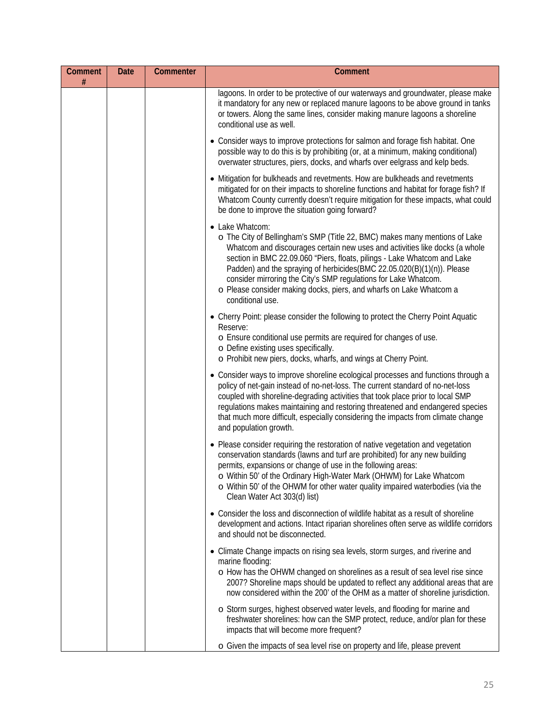| Comment<br># | Date | Commenter | Comment                                                                                                                                                                                                                                                                                                                                                                                                                                                                                           |
|--------------|------|-----------|---------------------------------------------------------------------------------------------------------------------------------------------------------------------------------------------------------------------------------------------------------------------------------------------------------------------------------------------------------------------------------------------------------------------------------------------------------------------------------------------------|
|              |      |           | lagoons. In order to be protective of our waterways and groundwater, please make<br>it mandatory for any new or replaced manure lagoons to be above ground in tanks<br>or towers. Along the same lines, consider making manure lagoons a shoreline<br>conditional use as well.                                                                                                                                                                                                                    |
|              |      |           | • Consider ways to improve protections for salmon and forage fish habitat. One<br>possible way to do this is by prohibiting (or, at a minimum, making conditional)<br>overwater structures, piers, docks, and wharfs over eelgrass and kelp beds.                                                                                                                                                                                                                                                 |
|              |      |           | • Mitigation for bulkheads and revetments. How are bulkheads and revetments<br>mitigated for on their impacts to shoreline functions and habitat for forage fish? If<br>Whatcom County currently doesn't require mitigation for these impacts, what could<br>be done to improve the situation going forward?                                                                                                                                                                                      |
|              |      |           | • Lake Whatcom:<br>o The City of Bellingham's SMP (Title 22, BMC) makes many mentions of Lake<br>Whatcom and discourages certain new uses and activities like docks (a whole<br>section in BMC 22.09.060 "Piers, floats, pilings - Lake Whatcom and Lake<br>Padden) and the spraying of herbicides (BMC 22.05.020(B)(1)(n)). Please<br>consider mirroring the City's SMP regulations for Lake Whatcom.<br>o Please consider making docks, piers, and wharfs on Lake Whatcom a<br>conditional use. |
|              |      |           | • Cherry Point: please consider the following to protect the Cherry Point Aquatic<br>Reserve:<br>o Ensure conditional use permits are required for changes of use.<br>o Define existing uses specifically.<br>o Prohibit new piers, docks, wharfs, and wings at Cherry Point.                                                                                                                                                                                                                     |
|              |      |           | • Consider ways to improve shoreline ecological processes and functions through a<br>policy of net-gain instead of no-net-loss. The current standard of no-net-loss<br>coupled with shoreline-degrading activities that took place prior to local SMP<br>regulations makes maintaining and restoring threatened and endangered species<br>that much more difficult, especially considering the impacts from climate change<br>and population growth.                                              |
|              |      |           | • Please consider requiring the restoration of native vegetation and vegetation<br>conservation standards (lawns and turf are prohibited) for any new building<br>permits, expansions or change of use in the following areas:<br>o Within 50' of the Ordinary High-Water Mark (OHWM) for Lake Whatcom<br>o Within 50' of the OHWM for other water quality impaired waterbodies (via the<br>Clean Water Act 303(d) list)                                                                          |
|              |      |           | • Consider the loss and disconnection of wildlife habitat as a result of shoreline<br>development and actions. Intact riparian shorelines often serve as wildlife corridors<br>and should not be disconnected.                                                                                                                                                                                                                                                                                    |
|              |      |           | • Climate Change impacts on rising sea levels, storm surges, and riverine and<br>marine flooding:<br>o How has the OHWM changed on shorelines as a result of sea level rise since<br>2007? Shoreline maps should be updated to reflect any additional areas that are<br>now considered within the 200' of the OHM as a matter of shoreline jurisdiction.                                                                                                                                          |
|              |      |           | o Storm surges, highest observed water levels, and flooding for marine and<br>freshwater shorelines: how can the SMP protect, reduce, and/or plan for these<br>impacts that will become more frequent?<br>o Given the impacts of sea level rise on property and life, please prevent                                                                                                                                                                                                              |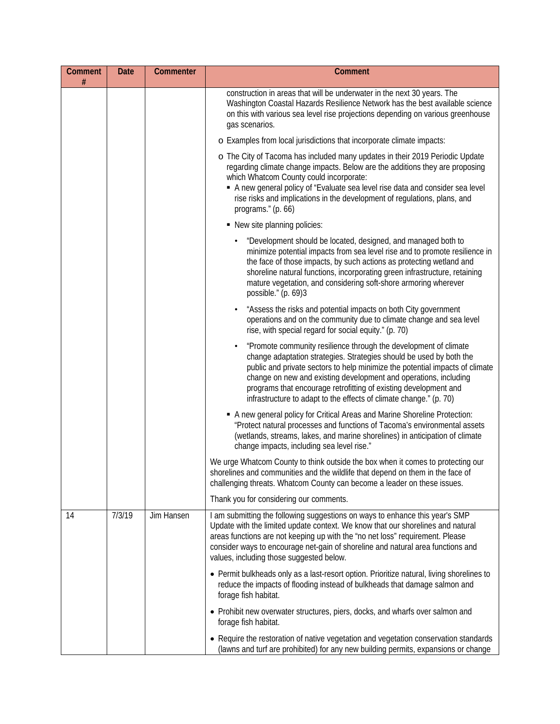| <b>Comment</b><br># | Date   | Commenter  | Comment                                                                                                                                                                                                                                                                                                                                                                                                                               |
|---------------------|--------|------------|---------------------------------------------------------------------------------------------------------------------------------------------------------------------------------------------------------------------------------------------------------------------------------------------------------------------------------------------------------------------------------------------------------------------------------------|
|                     |        |            | construction in areas that will be underwater in the next 30 years. The<br>Washington Coastal Hazards Resilience Network has the best available science<br>on this with various sea level rise projections depending on various greenhouse<br>gas scenarios.                                                                                                                                                                          |
|                     |        |            | o Examples from local jurisdictions that incorporate climate impacts:                                                                                                                                                                                                                                                                                                                                                                 |
|                     |        |            | o The City of Tacoma has included many updates in their 2019 Periodic Update<br>regarding climate change impacts. Below are the additions they are proposing<br>which Whatcom County could incorporate:<br>A new general policy of "Evaluate sea level rise data and consider sea level<br>rise risks and implications in the development of regulations, plans, and<br>programs." (p. 66)                                            |
|                     |        |            | • New site planning policies:                                                                                                                                                                                                                                                                                                                                                                                                         |
|                     |        |            | "Development should be located, designed, and managed both to<br>minimize potential impacts from sea level rise and to promote resilience in<br>the face of those impacts, by such actions as protecting wetland and<br>shoreline natural functions, incorporating green infrastructure, retaining<br>mature vegetation, and considering soft-shore armoring wherever<br>possible." (p. 69)3                                          |
|                     |        |            | "Assess the risks and potential impacts on both City government<br>operations and on the community due to climate change and sea level<br>rise, with special regard for social equity." (p. 70)                                                                                                                                                                                                                                       |
|                     |        |            | "Promote community resilience through the development of climate<br>change adaptation strategies. Strategies should be used by both the<br>public and private sectors to help minimize the potential impacts of climate<br>change on new and existing development and operations, including<br>programs that encourage retrofitting of existing development and<br>infrastructure to adapt to the effects of climate change." (p. 70) |
|                     |        |            | A new general policy for Critical Areas and Marine Shoreline Protection:<br>"Protect natural processes and functions of Tacoma's environmental assets<br>(wetlands, streams, lakes, and marine shorelines) in anticipation of climate<br>change impacts, including sea level rise."                                                                                                                                                   |
|                     |        |            | We urge Whatcom County to think outside the box when it comes to protecting our<br>shorelines and communities and the wildlife that depend on them in the face of<br>challenging threats. Whatcom County can become a leader on these issues.                                                                                                                                                                                         |
|                     |        |            | Thank you for considering our comments.                                                                                                                                                                                                                                                                                                                                                                                               |
| 14                  | 7/3/19 | Jim Hansen | I am submitting the following suggestions on ways to enhance this year's SMP<br>Update with the limited update context. We know that our shorelines and natural<br>areas functions are not keeping up with the "no net loss" requirement. Please<br>consider ways to encourage net-gain of shoreline and natural area functions and<br>values, including those suggested below.                                                       |
|                     |        |            | • Permit bulkheads only as a last-resort option. Prioritize natural, living shorelines to<br>reduce the impacts of flooding instead of bulkheads that damage salmon and<br>forage fish habitat.                                                                                                                                                                                                                                       |
|                     |        |            | • Prohibit new overwater structures, piers, docks, and wharfs over salmon and<br>forage fish habitat.                                                                                                                                                                                                                                                                                                                                 |
|                     |        |            | • Require the restoration of native vegetation and vegetation conservation standards<br>(lawns and turf are prohibited) for any new building permits, expansions or change                                                                                                                                                                                                                                                            |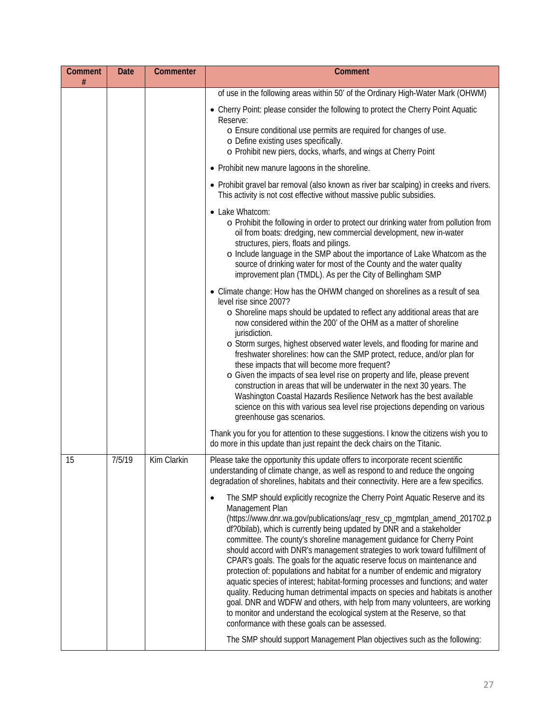| <b>Comment</b><br># | <b>Date</b> | Commenter   | Comment                                                                                                                                                                                                                                                                                                                                                                                                                                                                                                                                                                                                                                                                                                                                                                                                                                                                                                                                                                                                                                                                                                                                                                                                                                                                                                         |
|---------------------|-------------|-------------|-----------------------------------------------------------------------------------------------------------------------------------------------------------------------------------------------------------------------------------------------------------------------------------------------------------------------------------------------------------------------------------------------------------------------------------------------------------------------------------------------------------------------------------------------------------------------------------------------------------------------------------------------------------------------------------------------------------------------------------------------------------------------------------------------------------------------------------------------------------------------------------------------------------------------------------------------------------------------------------------------------------------------------------------------------------------------------------------------------------------------------------------------------------------------------------------------------------------------------------------------------------------------------------------------------------------|
|                     |             |             | of use in the following areas within 50' of the Ordinary High-Water Mark (OHWM)                                                                                                                                                                                                                                                                                                                                                                                                                                                                                                                                                                                                                                                                                                                                                                                                                                                                                                                                                                                                                                                                                                                                                                                                                                 |
|                     |             |             | • Cherry Point: please consider the following to protect the Cherry Point Aquatic<br>Reserve:<br>o Ensure conditional use permits are required for changes of use.<br>o Define existing uses specifically.<br>o Prohibit new piers, docks, wharfs, and wings at Cherry Point                                                                                                                                                                                                                                                                                                                                                                                                                                                                                                                                                                                                                                                                                                                                                                                                                                                                                                                                                                                                                                    |
|                     |             |             | • Prohibit new manure lagoons in the shoreline.                                                                                                                                                                                                                                                                                                                                                                                                                                                                                                                                                                                                                                                                                                                                                                                                                                                                                                                                                                                                                                                                                                                                                                                                                                                                 |
|                     |             |             | • Prohibit gravel bar removal (also known as river bar scalping) in creeks and rivers.<br>This activity is not cost effective without massive public subsidies.                                                                                                                                                                                                                                                                                                                                                                                                                                                                                                                                                                                                                                                                                                                                                                                                                                                                                                                                                                                                                                                                                                                                                 |
|                     |             |             | • Lake Whatcom:<br>o Prohibit the following in order to protect our drinking water from pollution from<br>oil from boats: dredging, new commercial development, new in-water<br>structures, piers, floats and pilings.<br>o Include language in the SMP about the importance of Lake Whatcom as the<br>source of drinking water for most of the County and the water quality<br>improvement plan (TMDL). As per the City of Bellingham SMP                                                                                                                                                                                                                                                                                                                                                                                                                                                                                                                                                                                                                                                                                                                                                                                                                                                                      |
|                     |             |             | • Climate change: How has the OHWM changed on shorelines as a result of sea<br>level rise since 2007?<br>o Shoreline maps should be updated to reflect any additional areas that are<br>now considered within the 200' of the OHM as a matter of shoreline<br>jurisdiction.<br>o Storm surges, highest observed water levels, and flooding for marine and<br>freshwater shorelines: how can the SMP protect, reduce, and/or plan for<br>these impacts that will become more frequent?<br>o Given the impacts of sea level rise on property and life, please prevent<br>construction in areas that will be underwater in the next 30 years. The<br>Washington Coastal Hazards Resilience Network has the best available<br>science on this with various sea level rise projections depending on various<br>greenhouse gas scenarios.                                                                                                                                                                                                                                                                                                                                                                                                                                                                             |
|                     |             |             | Thank you for you for attention to these suggestions. I know the citizens wish you to<br>do more in this update than just repaint the deck chairs on the Titanic.                                                                                                                                                                                                                                                                                                                                                                                                                                                                                                                                                                                                                                                                                                                                                                                                                                                                                                                                                                                                                                                                                                                                               |
| 15                  | 7/5/19      | Kim Clarkin | Please take the opportunity this update offers to incorporate recent scientific<br>understanding of climate change, as well as respond to and reduce the ongoing<br>degradation of shorelines, habitats and their connectivity. Here are a few specifics.<br>The SMP should explicitly recognize the Cherry Point Aquatic Reserve and its<br>$\bullet$<br>Management Plan<br>(https://www.dnr.wa.gov/publications/aqr_resv_cp_mgmtplan_amend_201702.p<br>df?0bilab), which is currently being updated by DNR and a stakeholder<br>committee. The county's shoreline management guidance for Cherry Point<br>should accord with DNR's management strategies to work toward fulfillment of<br>CPAR's goals. The goals for the aquatic reserve focus on maintenance and<br>protection of: populations and habitat for a number of endemic and migratory<br>aquatic species of interest; habitat-forming processes and functions; and water<br>quality. Reducing human detrimental impacts on species and habitats is another<br>goal. DNR and WDFW and others, with help from many volunteers, are working<br>to monitor and understand the ecological system at the Reserve, so that<br>conformance with these goals can be assessed.<br>The SMP should support Management Plan objectives such as the following: |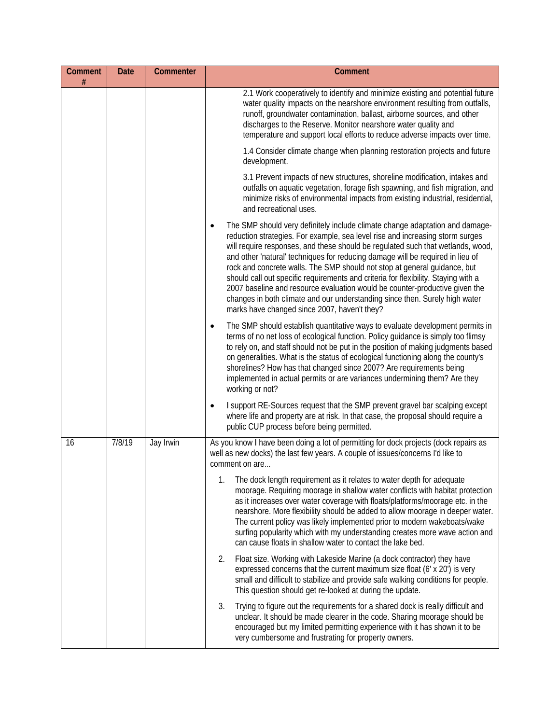| <b>Comment</b><br># | <b>Date</b> | Commenter | Comment                                                                                                                                                                                                                                                                                                                                                                                                                                                                                                                                                                                                                                                                                                             |
|---------------------|-------------|-----------|---------------------------------------------------------------------------------------------------------------------------------------------------------------------------------------------------------------------------------------------------------------------------------------------------------------------------------------------------------------------------------------------------------------------------------------------------------------------------------------------------------------------------------------------------------------------------------------------------------------------------------------------------------------------------------------------------------------------|
|                     |             |           | 2.1 Work cooperatively to identify and minimize existing and potential future<br>water quality impacts on the nearshore environment resulting from outfalls,<br>runoff, groundwater contamination, ballast, airborne sources, and other<br>discharges to the Reserve. Monitor nearshore water quality and<br>temperature and support local efforts to reduce adverse impacts over time.                                                                                                                                                                                                                                                                                                                             |
|                     |             |           | 1.4 Consider climate change when planning restoration projects and future<br>development.                                                                                                                                                                                                                                                                                                                                                                                                                                                                                                                                                                                                                           |
|                     |             |           | 3.1 Prevent impacts of new structures, shoreline modification, intakes and<br>outfalls on aquatic vegetation, forage fish spawning, and fish migration, and<br>minimize risks of environmental impacts from existing industrial, residential,<br>and recreational uses.                                                                                                                                                                                                                                                                                                                                                                                                                                             |
|                     |             |           | The SMP should very definitely include climate change adaptation and damage-<br>reduction strategies. For example, sea level rise and increasing storm surges<br>will require responses, and these should be regulated such that wetlands, wood,<br>and other 'natural' techniques for reducing damage will be required in lieu of<br>rock and concrete walls. The SMP should not stop at general guidance, but<br>should call out specific requirements and criteria for flexibility. Staying with a<br>2007 baseline and resource evaluation would be counter-productive given the<br>changes in both climate and our understanding since then. Surely high water<br>marks have changed since 2007, haven't they? |
|                     |             |           | The SMP should establish quantitative ways to evaluate development permits in<br>$\bullet$<br>terms of no net loss of ecological function. Policy guidance is simply too flimsy<br>to rely on, and staff should not be put in the position of making judgments based<br>on generalities. What is the status of ecological functioning along the county's<br>shorelines? How has that changed since 2007? Are requirements being<br>implemented in actual permits or are variances undermining them? Are they<br>working or not?                                                                                                                                                                                     |
|                     |             |           | I support RE-Sources request that the SMP prevent gravel bar scalping except<br>where life and property are at risk. In that case, the proposal should require a<br>public CUP process before being permitted.                                                                                                                                                                                                                                                                                                                                                                                                                                                                                                      |
| 16                  | 7/8/19      | Jay Irwin | As you know I have been doing a lot of permitting for dock projects (dock repairs as<br>well as new docks) the last few years. A couple of issues/concerns I'd like to<br>comment on are                                                                                                                                                                                                                                                                                                                                                                                                                                                                                                                            |
|                     |             |           | 1.<br>The dock length requirement as it relates to water depth for adequate<br>moorage. Requiring moorage in shallow water conflicts with habitat protection<br>as it increases over water coverage with floats/platforms/moorage etc. in the<br>nearshore. More flexibility should be added to allow moorage in deeper water.<br>The current policy was likely implemented prior to modern wakeboats/wake<br>surfing popularity which with my understanding creates more wave action and<br>can cause floats in shallow water to contact the lake bed.                                                                                                                                                             |
|                     |             |           | 2.<br>Float size. Working with Lakeside Marine (a dock contractor) they have<br>expressed concerns that the current maximum size float (6' x 20') is very<br>small and difficult to stabilize and provide safe walking conditions for people.<br>This question should get re-looked at during the update.                                                                                                                                                                                                                                                                                                                                                                                                           |
|                     |             |           | Trying to figure out the requirements for a shared dock is really difficult and<br>3.<br>unclear. It should be made clearer in the code. Sharing moorage should be<br>encouraged but my limited permitting experience with it has shown it to be<br>very cumbersome and frustrating for property owners.                                                                                                                                                                                                                                                                                                                                                                                                            |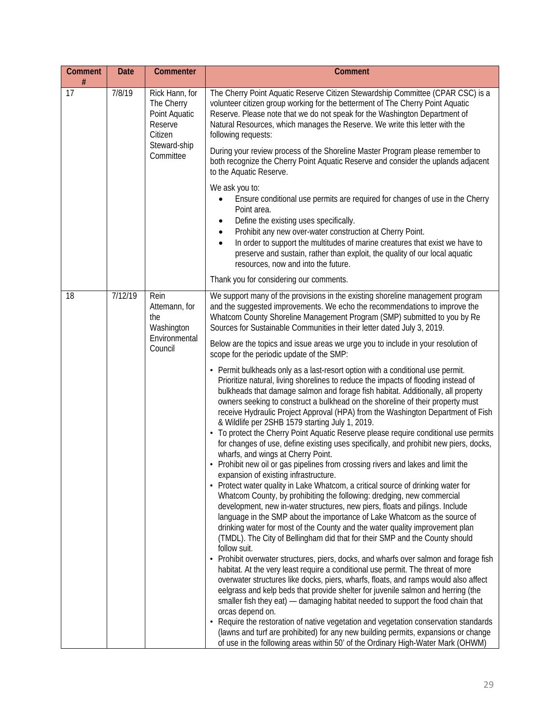| <b>Comment</b><br># | <b>Date</b> | Commenter                                                                                        | <b>Comment</b>                                                                                                                                                                                                                                                                                                                                                                                                                                                                                                                                                                                                                                                                                                                                                                                                                                                                                                                                                                                                                                                                                                                                                                                                                                                                                                                                                                                                                                                                                                                                                                                                                                                                                                                                                                                                                                                                                                                                                                                                                                                                                                                                                                                                                                                  |
|---------------------|-------------|--------------------------------------------------------------------------------------------------|-----------------------------------------------------------------------------------------------------------------------------------------------------------------------------------------------------------------------------------------------------------------------------------------------------------------------------------------------------------------------------------------------------------------------------------------------------------------------------------------------------------------------------------------------------------------------------------------------------------------------------------------------------------------------------------------------------------------------------------------------------------------------------------------------------------------------------------------------------------------------------------------------------------------------------------------------------------------------------------------------------------------------------------------------------------------------------------------------------------------------------------------------------------------------------------------------------------------------------------------------------------------------------------------------------------------------------------------------------------------------------------------------------------------------------------------------------------------------------------------------------------------------------------------------------------------------------------------------------------------------------------------------------------------------------------------------------------------------------------------------------------------------------------------------------------------------------------------------------------------------------------------------------------------------------------------------------------------------------------------------------------------------------------------------------------------------------------------------------------------------------------------------------------------------------------------------------------------------------------------------------------------|
| 17                  | 7/8/19      | Rick Hann, for<br>The Cherry<br>Point Aquatic<br>Reserve<br>Citizen<br>Steward-ship<br>Committee | The Cherry Point Aquatic Reserve Citizen Stewardship Committee (CPAR CSC) is a<br>volunteer citizen group working for the betterment of The Cherry Point Aquatic<br>Reserve. Please note that we do not speak for the Washington Department of<br>Natural Resources, which manages the Reserve. We write this letter with the<br>following requests:                                                                                                                                                                                                                                                                                                                                                                                                                                                                                                                                                                                                                                                                                                                                                                                                                                                                                                                                                                                                                                                                                                                                                                                                                                                                                                                                                                                                                                                                                                                                                                                                                                                                                                                                                                                                                                                                                                            |
|                     |             |                                                                                                  | During your review process of the Shoreline Master Program please remember to<br>both recognize the Cherry Point Aquatic Reserve and consider the uplands adjacent<br>to the Aquatic Reserve.                                                                                                                                                                                                                                                                                                                                                                                                                                                                                                                                                                                                                                                                                                                                                                                                                                                                                                                                                                                                                                                                                                                                                                                                                                                                                                                                                                                                                                                                                                                                                                                                                                                                                                                                                                                                                                                                                                                                                                                                                                                                   |
|                     |             |                                                                                                  | We ask you to:<br>Ensure conditional use permits are required for changes of use in the Cherry<br>Point area.<br>Define the existing uses specifically.<br>$\bullet$<br>Prohibit any new over-water construction at Cherry Point.<br>$\bullet$<br>In order to support the multitudes of marine creatures that exist we have to<br>$\bullet$<br>preserve and sustain, rather than exploit, the quality of our local aquatic<br>resources, now and into the future.                                                                                                                                                                                                                                                                                                                                                                                                                                                                                                                                                                                                                                                                                                                                                                                                                                                                                                                                                                                                                                                                                                                                                                                                                                                                                                                                                                                                                                                                                                                                                                                                                                                                                                                                                                                               |
|                     |             |                                                                                                  | Thank you for considering our comments.                                                                                                                                                                                                                                                                                                                                                                                                                                                                                                                                                                                                                                                                                                                                                                                                                                                                                                                                                                                                                                                                                                                                                                                                                                                                                                                                                                                                                                                                                                                                                                                                                                                                                                                                                                                                                                                                                                                                                                                                                                                                                                                                                                                                                         |
| 18                  | 7/12/19     | Rein<br>Attemann, for<br>the<br>Washington<br>Environmental<br>Council                           | We support many of the provisions in the existing shoreline management program<br>and the suggested improvements. We echo the recommendations to improve the<br>Whatcom County Shoreline Management Program (SMP) submitted to you by Re<br>Sources for Sustainable Communities in their letter dated July 3, 2019.<br>Below are the topics and issue areas we urge you to include in your resolution of<br>scope for the periodic update of the SMP:<br>• Permit bulkheads only as a last-resort option with a conditional use permit.<br>Prioritize natural, living shorelines to reduce the impacts of flooding instead of<br>bulkheads that damage salmon and forage fish habitat. Additionally, all property<br>owners seeking to construct a bulkhead on the shoreline of their property must<br>receive Hydraulic Project Approval (HPA) from the Washington Department of Fish<br>& Wildlife per 2SHB 1579 starting July 1, 2019.<br>To protect the Cherry Point Aquatic Reserve please require conditional use permits<br>for changes of use, define existing uses specifically, and prohibit new piers, docks,<br>wharfs, and wings at Cherry Point.<br>Prohibit new oil or gas pipelines from crossing rivers and lakes and limit the<br>expansion of existing infrastructure.<br>• Protect water quality in Lake Whatcom, a critical source of drinking water for<br>Whatcom County, by prohibiting the following: dredging, new commercial<br>development, new in-water structures, new piers, floats and pilings. Include<br>language in the SMP about the importance of Lake Whatcom as the source of<br>drinking water for most of the County and the water quality improvement plan<br>(TMDL). The City of Bellingham did that for their SMP and the County should<br>follow suit.<br>Prohibit overwater structures, piers, docks, and wharfs over salmon and forage fish<br>habitat. At the very least require a conditional use permit. The threat of more<br>overwater structures like docks, piers, wharfs, floats, and ramps would also affect<br>eelgrass and kelp beds that provide shelter for juvenile salmon and herring (the<br>smaller fish they eat) — damaging habitat needed to support the food chain that<br>orcas depend on. |
|                     |             |                                                                                                  | • Require the restoration of native vegetation and vegetation conservation standards<br>(lawns and turf are prohibited) for any new building permits, expansions or change<br>of use in the following areas within 50' of the Ordinary High-Water Mark (OHWM)                                                                                                                                                                                                                                                                                                                                                                                                                                                                                                                                                                                                                                                                                                                                                                                                                                                                                                                                                                                                                                                                                                                                                                                                                                                                                                                                                                                                                                                                                                                                                                                                                                                                                                                                                                                                                                                                                                                                                                                                   |